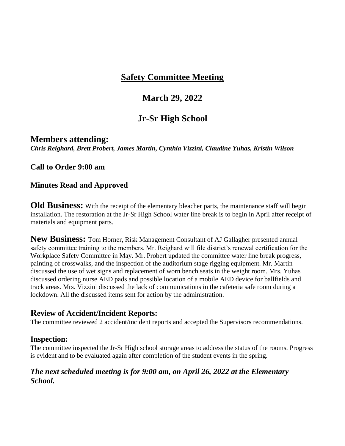## **March 29, 2022**

## **Jr-Sr High School**

#### **Members attending:**

*Chris Reighard, Brett Probert, James Martin, Cynthia Vizzini, Claudine Yuhas, Kristin Wilson*

#### **Call to Order 9:00 am**

#### **Minutes Read and Approved**

**Old Business:** With the receipt of the elementary bleacher parts, the maintenance staff will begin installation. The restoration at the Jr-Sr High School water line break is to begin in April after receipt of materials and equipment parts.

**New Business:** Tom Horner, Risk Management Consultant of AJ Gallagher presented annual safety committee training to the members. Mr. Reighard will file district's renewal certification for the Workplace Safety Committee in May. Mr. Probert updated the committee water line break progress, painting of crosswalks, and the inspection of the auditorium stage rigging equipment. Mr. Martin discussed the use of wet signs and replacement of worn bench seats in the weight room. Mrs. Yuhas discussed ordering nurse AED pads and possible location of a mobile AED device for ballfields and track areas. Mrs. Vizzini discussed the lack of communications in the cafeteria safe room during a lockdown. All the discussed items sent for action by the administration.

### **Review of Accident/Incident Reports:**

The committee reviewed 2 accident/incident reports and accepted the Supervisors recommendations.

#### **Inspection:**

The committee inspected the Jr-Sr High school storage areas to address the status of the rooms. Progress is evident and to be evaluated again after completion of the student events in the spring.

### *The next scheduled meeting is for 9:00 am, on April 26, 2022 at the Elementary School.*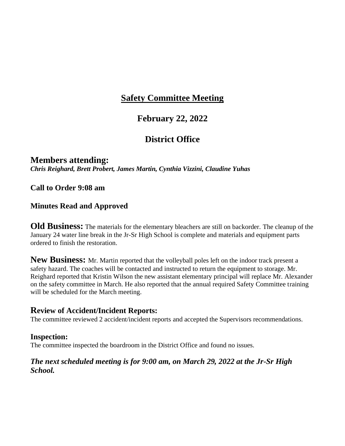### **February 22, 2022**

## **District Office**

#### **Members attending:** *Chris Reighard, Brett Probert, James Martin, Cynthia Vizzini, Claudine Yuhas*

#### **Call to Order 9:08 am**

#### **Minutes Read and Approved**

**Old Business:** The materials for the elementary bleachers are still on backorder. The cleanup of the January 24 water line break in the Jr-Sr High School is complete and materials and equipment parts ordered to finish the restoration.

**New Business:** Mr. Martin reported that the volleyball poles left on the indoor track present a safety hazard. The coaches will be contacted and instructed to return the equipment to storage. Mr. Reighard reported that Kristin Wilson the new assistant elementary principal will replace Mr. Alexander on the safety committee in March. He also reported that the annual required Safety Committee training will be scheduled for the March meeting.

### **Review of Accident/Incident Reports:**

The committee reviewed 2 accident/incident reports and accepted the Supervisors recommendations.

#### **Inspection:**

The committee inspected the boardroom in the District Office and found no issues.

#### *The next scheduled meeting is for 9:00 am, on March 29, 2022 at the Jr-Sr High School.*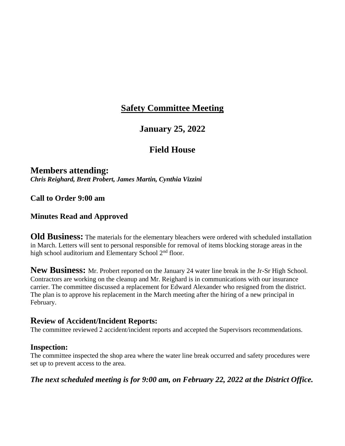### **January 25, 2022**

### **Field House**

# **Members attending:**

*Chris Reighard, Brett Probert, James Martin, Cynthia Vizzini*

#### **Call to Order 9:00 am**

### **Minutes Read and Approved**

**Old Business:** The materials for the elementary bleachers were ordered with scheduled installation in March. Letters will sent to personal responsible for removal of items blocking storage areas in the high school auditorium and Elementary School 2<sup>nd</sup> floor.

**New Business:** Mr. Probert reported on the January 24 water line break in the Jr-Sr High School. Contractors are working on the cleanup and Mr. Reighard is in communications with our insurance carrier. The committee discussed a replacement for Edward Alexander who resigned from the district. The plan is to approve his replacement in the March meeting after the hiring of a new principal in February.

### **Review of Accident/Incident Reports:**

The committee reviewed 2 accident/incident reports and accepted the Supervisors recommendations.

#### **Inspection:**

The committee inspected the shop area where the water line break occurred and safety procedures were set up to prevent access to the area.

*The next scheduled meeting is for 9:00 am, on February 22, 2022 at the District Office.*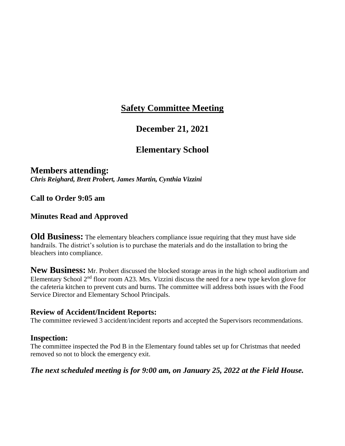### **December 21, 2021**

### **Elementary School**

#### **Members attending:** *Chris Reighard, Brett Probert, James Martin, Cynthia Vizzini*

**Call to Order 9:05 am**

### **Minutes Read and Approved**

**Old Business:** The elementary bleachers compliance issue requiring that they must have side handrails. The district's solution is to purchase the materials and do the installation to bring the bleachers into compliance.

**New Business:** Mr. Probert discussed the blocked storage areas in the high school auditorium and Elementary School  $2<sup>nd</sup>$  floor room A23. Mrs. Vizzini discuss the need for a new type kevlon glove for the cafeteria kitchen to prevent cuts and burns. The committee will address both issues with the Food Service Director and Elementary School Principals.

#### **Review of Accident/Incident Reports:**

The committee reviewed 3 accident/incident reports and accepted the Supervisors recommendations.

#### **Inspection:**

The committee inspected the Pod B in the Elementary found tables set up for Christmas that needed removed so not to block the emergency exit.

#### *The next scheduled meeting is for 9:00 am, on January 25, 2022 at the Field House.*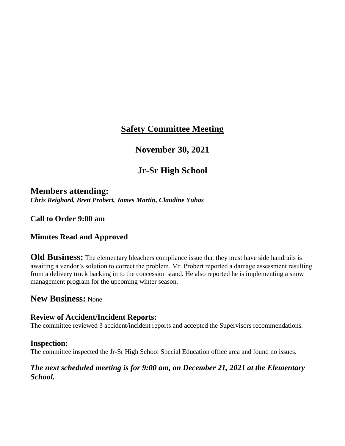## **November 30, 2021**

## **Jr-Sr High School**

**Members attending:** *Chris Reighard, Brett Probert, James Martin, Claudine Yuhas*

**Call to Order 9:00 am**

### **Minutes Read and Approved**

**Old Business:** The elementary bleachers compliance issue that they must have side handrails is awaiting a vendor's solution to correct the problem. Mr. Probert reported a damage assessment resulting from a delivery truck backing in to the concession stand. He also reported he is implementing a snow management program for the upcoming winter season.

### **New Business:** None

### **Review of Accident/Incident Reports:**

The committee reviewed 3 accident/incident reports and accepted the Supervisors recommendations.

#### **Inspection:**

The committee inspected the Jr-Sr High School Special Education office area and found no issues.

#### *The next scheduled meeting is for 9:00 am, on December 21, 2021 at the Elementary School.*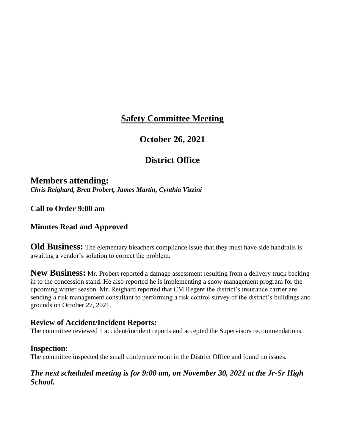### **October 26, 2021**

## **District Office**

**Members attending:** *Chris Reighard, Brett Probert, James Martin, Cynthia Vizzini*

**Call to Order 9:00 am**

#### **Minutes Read and Approved**

**Old Business:** The elementary bleachers compliance issue that they must have side handrails is awaiting a vendor's solution to correct the problem.

**New Business:** Mr. Probert reported a damage assessment resulting from a delivery truck backing in to the concession stand. He also reported he is implementing a snow management program for the upcoming winter season. Mr. Reighard reported that CM Regent the district's insurance carrier are sending a risk management consultant to performing a risk control survey of the district's buildings and grounds on October 27, 2021.

#### **Review of Accident/Incident Reports:**

The committee reviewed 1 accident/incident reports and accepted the Supervisors recommendations.

#### **Inspection:**

The committee inspected the small conference room in the District Office and found no issues.

#### *The next scheduled meeting is for 9:00 am, on November 30, 2021 at the Jr-Sr High School.*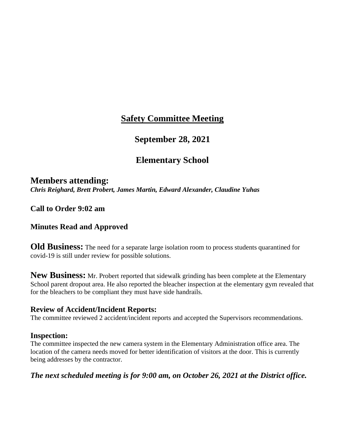### **September 28, 2021**

## **Elementary School**

**Members attending:** *Chris Reighard, Brett Probert, James Martin, Edward Alexander, Claudine Yuhas*

**Call to Order 9:02 am**

#### **Minutes Read and Approved**

**Old Business:** The need for a separate large isolation room to process students quarantined for covid-19 is still under review for possible solutions.

**New Business:** Mr. Probert reported that sidewalk grinding has been complete at the Elementary School parent dropout area. He also reported the bleacher inspection at the elementary gym revealed that for the bleachers to be compliant they must have side handrails.

#### **Review of Accident/Incident Reports:**

The committee reviewed 2 accident/incident reports and accepted the Supervisors recommendations.

#### **Inspection:**

The committee inspected the new camera system in the Elementary Administration office area. The location of the camera needs moved for better identification of visitors at the door. This is currently being addresses by the contractor.

*The next scheduled meeting is for 9:00 am, on October 26, 2021 at the District office.*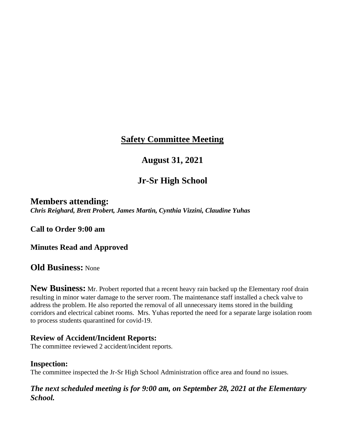## **August 31, 2021**

## **Jr-Sr High School**

### **Members attending:**

*Chris Reighard, Brett Probert, James Martin, Cynthia Vizzini, Claudine Yuhas*

**Call to Order 9:00 am**

**Minutes Read and Approved**

**Old Business:** None

**New Business:** Mr. Probert reported that a recent heavy rain backed up the Elementary roof drain resulting in minor water damage to the server room. The maintenance staff installed a check valve to address the problem. He also reported the removal of all unnecessary items stored in the building corridors and electrical cabinet rooms. Mrs. Yuhas reported the need for a separate large isolation room to process students quarantined for covid-19.

#### **Review of Accident/Incident Reports:**

The committee reviewed 2 accident/incident reports.

#### **Inspection:**

The committee inspected the Jr-Sr High School Administration office area and found no issues.

*The next scheduled meeting is for 9:00 am, on September 28, 2021 at the Elementary School.*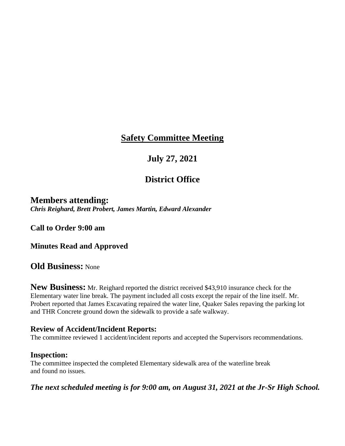## **July 27, 2021**

## **District Office**

#### **Members attending:** *Chris Reighard, Brett Probert, James Martin, Edward Alexander*

**Call to Order 9:00 am**

**Minutes Read and Approved**

### **Old Business:** None

**New Business:** Mr. Reighard reported the district received \$43,910 insurance check for the Elementary water line break. The payment included all costs except the repair of the line itself. Mr. Probert reported that James Excavating repaired the water line, Quaker Sales repaving the parking lot and THR Concrete ground down the sidewalk to provide a safe walkway.

#### **Review of Accident/Incident Reports:**

The committee reviewed 1 accident/incident reports and accepted the Supervisors recommendations.

#### **Inspection:**

The committee inspected the completed Elementary sidewalk area of the waterline break and found no issues.

*The next scheduled meeting is for 9:00 am, on August 31, 2021 at the Jr-Sr High School.*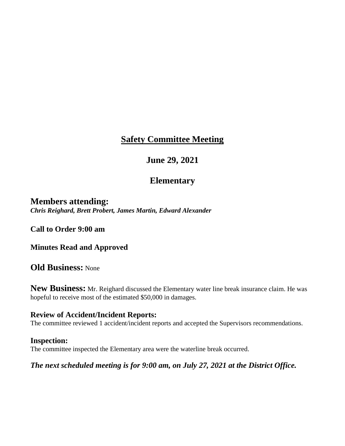## **June 29, 2021**

## **Elementary**

**Members attending:** *Chris Reighard, Brett Probert, James Martin, Edward Alexander*

**Call to Order 9:00 am**

**Minutes Read and Approved**

**Old Business:** None

**New Business:** Mr. Reighard discussed the Elementary water line break insurance claim. He was hopeful to receive most of the estimated \$50,000 in damages.

#### **Review of Accident/Incident Reports:**

The committee reviewed 1 accident/incident reports and accepted the Supervisors recommendations.

#### **Inspection:**

The committee inspected the Elementary area were the waterline break occurred.

*The next scheduled meeting is for 9:00 am, on July 27, 2021 at the District Office.*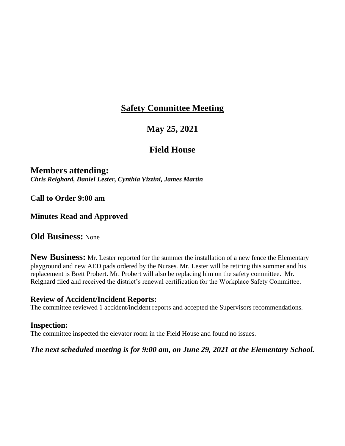## **May 25, 2021**

### **Field House**

### **Members attending:**

*Chris Reighard, Daniel Lester, Cynthia Vizzini, James Martin*

**Call to Order 9:00 am**

### **Minutes Read and Approved**

### **Old Business:** None

**New Business:** Mr. Lester reported for the summer the installation of a new fence the Elementary playground and new AED pads ordered by the Nurses. Mr. Lester will be retiring this summer and his replacement is Brett Probert. Mr. Probert will also be replacing him on the safety committee. Mr. Reighard filed and received the district's renewal certification for the Workplace Safety Committee.

#### **Review of Accident/Incident Reports:**

The committee reviewed 1 accident/incident reports and accepted the Supervisors recommendations.

#### **Inspection:**

The committee inspected the elevator room in the Field House and found no issues.

#### *The next scheduled meeting is for 9:00 am, on June 29, 2021 at the Elementary School.*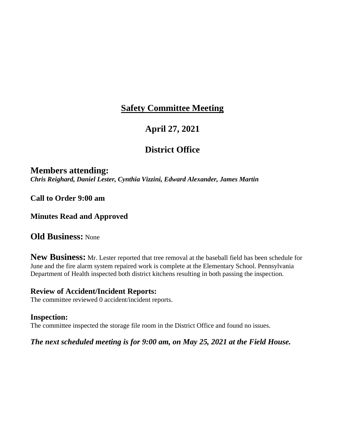## **April 27, 2021**

## **District Office**

### **Members attending:**

*Chris Reighard, Daniel Lester, Cynthia Vizzini, Edward Alexander, James Martin*

**Call to Order 9:00 am**

**Minutes Read and Approved**

**Old Business:** None

**New Business:** Mr. Lester reported that tree removal at the baseball field has been schedule for June and the fire alarm system repaired work is complete at the Elementary School. Pennsylvania Department of Health inspected both district kitchens resulting in both passing the inspection.

#### **Review of Accident/Incident Reports:**

The committee reviewed 0 accident/incident reports.

#### **Inspection:**

The committee inspected the storage file room in the District Office and found no issues.

#### *The next scheduled meeting is for 9:00 am, on May 25, 2021 at the Field House.*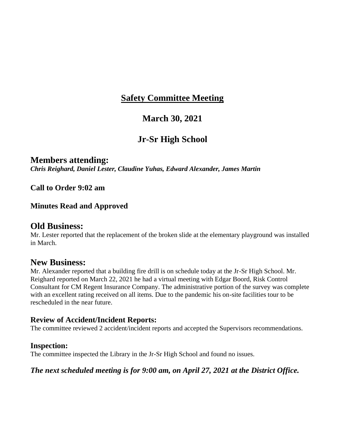## **March 30, 2021**

## **Jr-Sr High School**

### **Members attending:**

*Chris Reighard, Daniel Lester, Claudine Yuhas, Edward Alexander, James Martin*

**Call to Order 9:02 am**

#### **Minutes Read and Approved**

### **Old Business:**

Mr. Lester reported that the replacement of the broken slide at the elementary playground was installed in March.

### **New Business:**

Mr. Alexander reported that a building fire drill is on schedule today at the Jr-Sr High School. Mr. Reighard reported on March 22, 2021 he had a virtual meeting with Edgar Boord, Risk Control Consultant for CM Regent Insurance Company. The administrative portion of the survey was complete with an excellent rating received on all items. Due to the pandemic his on-site facilities tour to be rescheduled in the near future.

#### **Review of Accident/Incident Reports:**

The committee reviewed 2 accident/incident reports and accepted the Supervisors recommendations.

#### **Inspection:**

The committee inspected the Library in the Jr-Sr High School and found no issues.

#### *The next scheduled meeting is for 9:00 am, on April 27, 2021 at the District Office.*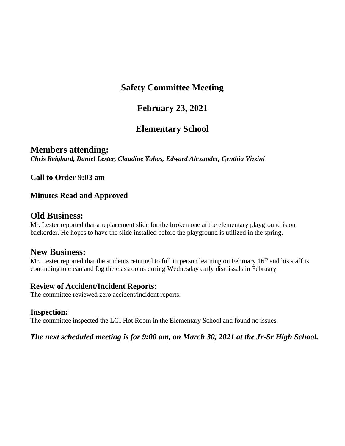### **February 23, 2021**

## **Elementary School**

**Members attending:** *Chris Reighard, Daniel Lester, Claudine Yuhas, Edward Alexander, Cynthia Vizzini*

**Call to Order 9:03 am**

#### **Minutes Read and Approved**

#### **Old Business:**

Mr. Lester reported that a replacement slide for the broken one at the elementary playground is on backorder. He hopes to have the slide installed before the playground is utilized in the spring.

### **New Business:**

Mr. Lester reported that the students returned to full in person learning on February  $16<sup>th</sup>$  and his staff is continuing to clean and fog the classrooms during Wednesday early dismissals in February.

#### **Review of Accident/Incident Reports:**

The committee reviewed zero accident/incident reports.

#### **Inspection:**

The committee inspected the LGI Hot Room in the Elementary School and found no issues.

*The next scheduled meeting is for 9:00 am, on March 30, 2021 at the Jr-Sr High School.*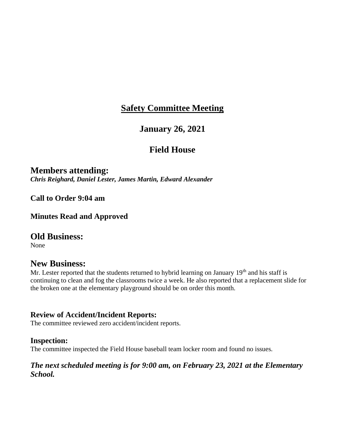### **January 26, 2021**

### **Field House**

**Members attending:** *Chris Reighard, Daniel Lester, James Martin, Edward Alexander*

**Call to Order 9:04 am**

**Minutes Read and Approved**

### **Old Business:**

None

### **New Business:**

Mr. Lester reported that the students returned to hybrid learning on January  $19<sup>th</sup>$  and his staff is continuing to clean and fog the classrooms twice a week. He also reported that a replacement slide for the broken one at the elementary playground should be on order this month.

#### **Review of Accident/Incident Reports:**

The committee reviewed zero accident/incident reports.

#### **Inspection:**

The committee inspected the Field House baseball team locker room and found no issues.

#### *The next scheduled meeting is for 9:00 am, on February 23, 2021 at the Elementary School.*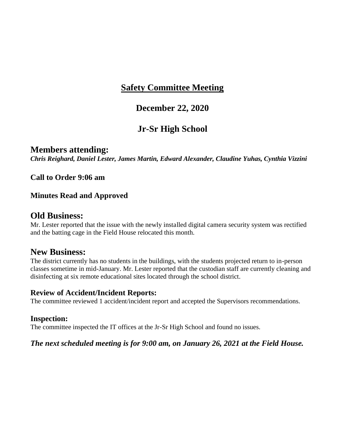### **December 22, 2020**

## **Jr-Sr High School**

### **Members attending:**

*Chris Reighard, Daniel Lester, James Martin, Edward Alexander, Claudine Yuhas, Cynthia Vizzini*

**Call to Order 9:06 am**

#### **Minutes Read and Approved**

#### **Old Business:**

Mr. Lester reported that the issue with the newly installed digital camera security system was rectified and the batting cage in the Field House relocated this month.

### **New Business:**

The district currently has no students in the buildings, with the students projected return to in-person classes sometime in mid-January. Mr. Lester reported that the custodian staff are currently cleaning and disinfecting at six remote educational sites located through the school district.

#### **Review of Accident/Incident Reports:**

The committee reviewed 1 accident/incident report and accepted the Supervisors recommendations.

#### **Inspection:**

The committee inspected the IT offices at the Jr-Sr High School and found no issues.

#### *The next scheduled meeting is for 9:00 am, on January 26, 2021 at the Field House.*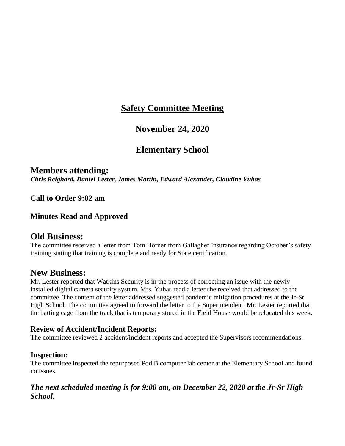### **November 24, 2020**

### **Elementary School**

## **Members attending:**

*Chris Reighard, Daniel Lester, James Martin, Edward Alexander, Claudine Yuhas*

**Call to Order 9:02 am**

#### **Minutes Read and Approved**

### **Old Business:**

The committee received a letter from Tom Horner from Gallagher Insurance regarding October's safety training stating that training is complete and ready for State certification.

### **New Business:**

Mr. Lester reported that Watkins Security is in the process of correcting an issue with the newly installed digital camera security system. Mrs. Yuhas read a letter she received that addressed to the committee. The content of the letter addressed suggested pandemic mitigation procedures at the Jr-Sr High School. The committee agreed to forward the letter to the Superintendent. Mr. Lester reported that the batting cage from the track that is temporary stored in the Field House would be relocated this week.

#### **Review of Accident/Incident Reports:**

The committee reviewed 2 accident/incident reports and accepted the Supervisors recommendations.

#### **Inspection:**

The committee inspected the repurposed Pod B computer lab center at the Elementary School and found no issues.

#### *The next scheduled meeting is for 9:00 am, on December 22, 2020 at the Jr-Sr High School.*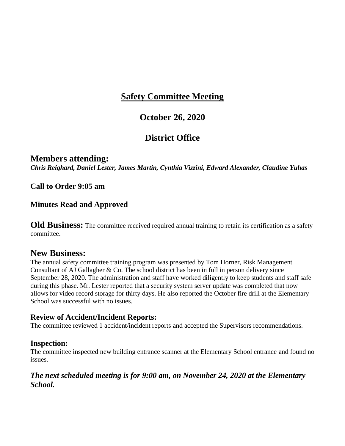### **October 26, 2020**

## **District Office**

### **Members attending:**

*Chris Reighard, Daniel Lester, James Martin, Cynthia Vizzini, Edward Alexander, Claudine Yuhas*

**Call to Order 9:05 am**

#### **Minutes Read and Approved**

**Old Business:** The committee received required annual training to retain its certification as a safety committee.

### **New Business:**

The annual safety committee training program was presented by Tom Horner, Risk Management Consultant of AJ Gallagher & Co. The school district has been in full in person delivery since September 28, 2020. The administration and staff have worked diligently to keep students and staff safe during this phase. Mr. Lester reported that a security system server update was completed that now allows for video record storage for thirty days. He also reported the October fire drill at the Elementary School was successful with no issues.

### **Review of Accident/Incident Reports:**

The committee reviewed 1 accident/incident reports and accepted the Supervisors recommendations.

#### **Inspection:**

The committee inspected new building entrance scanner at the Elementary School entrance and found no issues.

#### *The next scheduled meeting is for 9:00 am, on November 24, 2020 at the Elementary School.*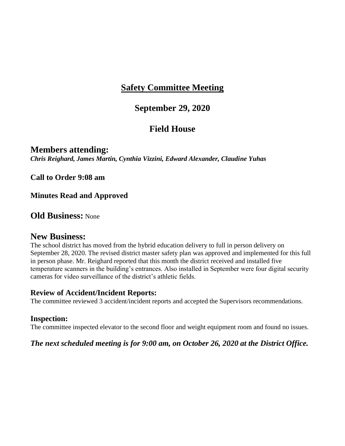### **September 29, 2020**

## **Field House**

**Members attending:** *Chris Reighard, James Martin, Cynthia Vizzini, Edward Alexander, Claudine Yuhas*

**Call to Order 9:08 am**

**Minutes Read and Approved**

**Old Business:** None

### **New Business:**

The school district has moved from the hybrid education delivery to full in person delivery on September 28, 2020. The revised district master safety plan was approved and implemented for this full in person phase. Mr. Reighard reported that this month the district received and installed five temperature scanners in the building's entrances. Also installed in September were four digital security cameras for video surveillance of the district's athletic fields.

#### **Review of Accident/Incident Reports:**

The committee reviewed 3 accident/incident reports and accepted the Supervisors recommendations.

#### **Inspection:**

The committee inspected elevator to the second floor and weight equipment room and found no issues.

#### *The next scheduled meeting is for 9:00 am, on October 26, 2020 at the District Office.*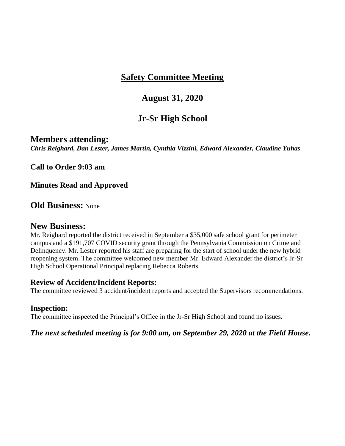### **August 31, 2020**

## **Jr-Sr High School**

#### **Members attending:**

*Chris Reighard, Dan Lester, James Martin, Cynthia Vizzini, Edward Alexander, Claudine Yuhas*

**Call to Order 9:03 am**

**Minutes Read and Approved**

**Old Business:** None

#### **New Business:**

Mr. Reighard reported the district received in September a \$35,000 safe school grant for perimeter campus and a \$191,707 COVID security grant through the Pennsylvania Commission on Crime and Delinquency. Mr. Lester reported his staff are preparing for the start of school under the new hybrid reopening system. The committee welcomed new member Mr. Edward Alexander the district's Jr-Sr High School Operational Principal replacing Rebecca Roberts.

#### **Review of Accident/Incident Reports:**

The committee reviewed 3 accident/incident reports and accepted the Supervisors recommendations.

#### **Inspection:**

The committee inspected the Principal's Office in the Jr-Sr High School and found no issues.

*The next scheduled meeting is for 9:00 am, on September 29, 2020 at the Field House.*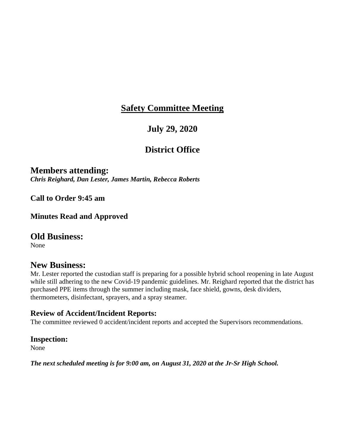## **July 29, 2020**

## **District Office**

### **Members attending:**

*Chris Reighard, Dan Lester, James Martin, Rebecca Roberts*

**Call to Order 9:45 am**

#### **Minutes Read and Approved**

### **Old Business:**

None

### **New Business:**

Mr. Lester reported the custodian staff is preparing for a possible hybrid school reopening in late August while still adhering to the new Covid-19 pandemic guidelines. Mr. Reighard reported that the district has purchased PPE items through the summer including mask, face shield, gowns, desk dividers, thermometers, disinfectant, sprayers, and a spray steamer.

#### **Review of Accident/Incident Reports:**

The committee reviewed 0 accident/incident reports and accepted the Supervisors recommendations.

#### **Inspection:**

None

*The next scheduled meeting is for 9:00 am, on August 31, 2020 at the Jr-Sr High School.*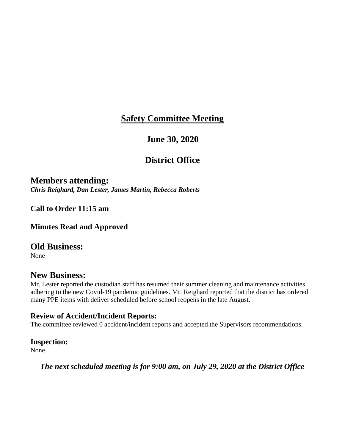### **June 30, 2020**

## **District Office**

**Members attending:** *Chris Reighard, Dan Lester, James Martin, Rebecca Roberts*

**Call to Order 11:15 am**

**Minutes Read and Approved**

#### **Old Business:**

None

### **New Business:**

Mr. Lester reported the custodian staff has resumed their summer cleaning and maintenance activities adhering to the new Covid-19 pandemic guidelines. Mr. Reighard reported that the district has ordered many PPE items with deliver scheduled before school reopens in the late August.

#### **Review of Accident/Incident Reports:**

The committee reviewed 0 accident/incident reports and accepted the Supervisors recommendations.

#### **Inspection:**

None

*The next scheduled meeting is for 9:00 am, on July 29, 2020 at the District Office*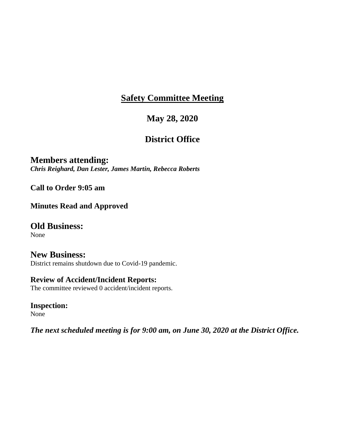## **May 28, 2020**

## **District Office**

**Members attending:** *Chris Reighard, Dan Lester, James Martin, Rebecca Roberts*

**Call to Order 9:05 am**

**Minutes Read and Approved**

**Old Business:**

None

**New Business:** District remains shutdown due to Covid-19 pandemic.

### **Review of Accident/Incident Reports:**

The committee reviewed 0 accident/incident reports.

**Inspection:** None

*The next scheduled meeting is for 9:00 am, on June 30, 2020 at the District Office.*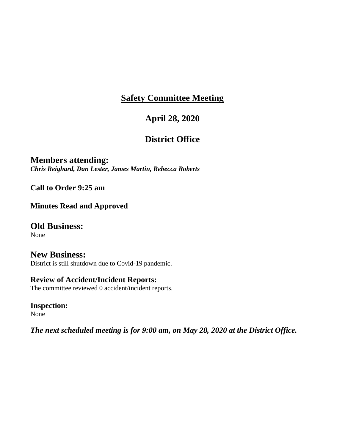## **April 28, 2020**

## **District Office**

**Members attending:** *Chris Reighard, Dan Lester, James Martin, Rebecca Roberts*

**Call to Order 9:25 am**

**Minutes Read and Approved**

**Old Business:**

None

**New Business:** District is still shutdown due to Covid-19 pandemic.

### **Review of Accident/Incident Reports:**

The committee reviewed 0 accident/incident reports.

**Inspection:** None

*The next scheduled meeting is for 9:00 am, on May 28, 2020 at the District Office.*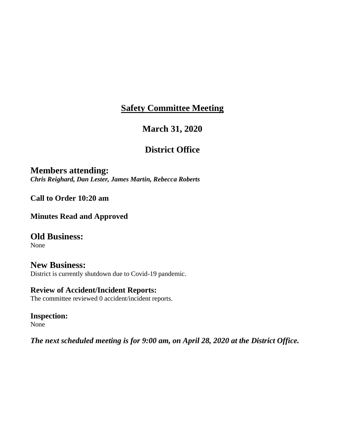## **March 31, 2020**

## **District Office**

**Members attending:** *Chris Reighard, Dan Lester, James Martin, Rebecca Roberts*

**Call to Order 10:20 am**

**Minutes Read and Approved**

**Old Business:** None

**New Business:** District is currently shutdown due to Covid-19 pandemic.

**Review of Accident/Incident Reports:** The committee reviewed 0 accident/incident reports.

**Inspection:** None

*The next scheduled meeting is for 9:00 am, on April 28, 2020 at the District Office.*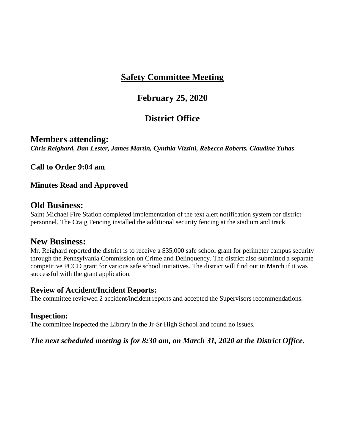### **February 25, 2020**

## **District Office**

#### **Members attending:**

*Chris Reighard, Dan Lester, James Martin, Cynthia Vizzini, Rebecca Roberts, Claudine Yuhas*

**Call to Order 9:04 am**

#### **Minutes Read and Approved**

### **Old Business:**

Saint Michael Fire Station completed implementation of the text alert notification system for district personnel. The Craig Fencing installed the additional security fencing at the stadium and track.

### **New Business:**

Mr. Reighard reported the district is to receive a \$35,000 safe school grant for perimeter campus security through the Pennsylvania Commission on Crime and Delinquency. The district also submitted a separate competitive PCCD grant for various safe school initiatives. The district will find out in March if it was successful with the grant application.

#### **Review of Accident/Incident Reports:**

The committee reviewed 2 accident/incident reports and accepted the Supervisors recommendations.

#### **Inspection:**

The committee inspected the Library in the Jr-Sr High School and found no issues.

#### *The next scheduled meeting is for 8:30 am, on March 31, 2020 at the District Office.*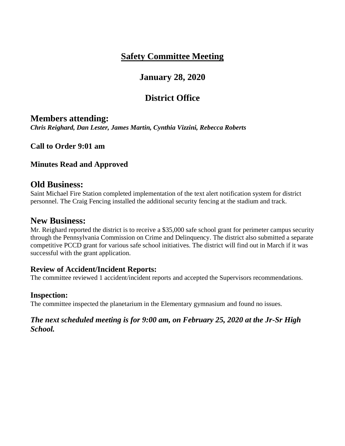## **January 28, 2020**

## **District Office**

### **Members attending:**

*Chris Reighard, Dan Lester, James Martin, Cynthia Vizzini, Rebecca Roberts*

**Call to Order 9:01 am**

#### **Minutes Read and Approved**

### **Old Business:**

Saint Michael Fire Station completed implementation of the text alert notification system for district personnel. The Craig Fencing installed the additional security fencing at the stadium and track.

### **New Business:**

Mr. Reighard reported the district is to receive a \$35,000 safe school grant for perimeter campus security through the Pennsylvania Commission on Crime and Delinquency. The district also submitted a separate competitive PCCD grant for various safe school initiatives. The district will find out in March if it was successful with the grant application.

#### **Review of Accident/Incident Reports:**

The committee reviewed 1 accident/incident reports and accepted the Supervisors recommendations.

#### **Inspection:**

The committee inspected the planetarium in the Elementary gymnasium and found no issues.

#### *The next scheduled meeting is for 9:00 am, on February 25, 2020 at the Jr-Sr High School.*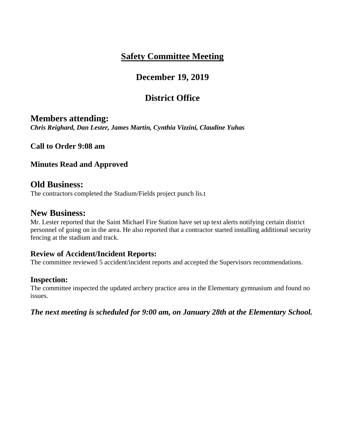## **December 19, 2019**

## **District Office**

### **Members attending:**

*Chris Reighard, Dan Lester, James Martin, Cynthia Vizzini, Claudine Yuhas*

**Call to Order 9:08 am**

### **Minutes Read and Approved**

### **Old Business:**

The contractors completed the Stadium/Fields project punch lis.t

### **New Business:**

Mr. Lester reported that the Saint Michael Fire Station have set up text alerts notifying certain district personnel of going on in the area. He also reported that a contractor started installing additional security fencing at the stadium and track.

### **Review of Accident/Incident Reports:**

The committee reviewed 5 accident/incident reports and accepted the Supervisors recommendations.

#### **Inspection:**

The committee inspected the updated archery practice area in the Elementary gymnasium and found no issues.

*The next meeting is scheduled for 9:00 am, on January 28th at the Elementary School.*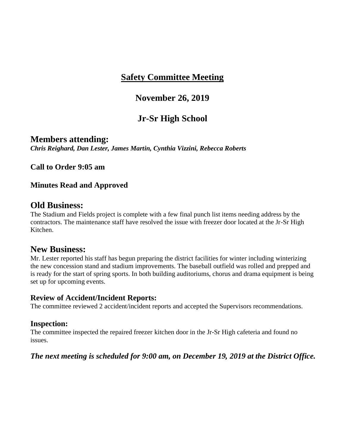## **November 26, 2019**

## **Jr-Sr High School**

**Members attending:** *Chris Reighard, Dan Lester, James Martin, Cynthia Vizzini, Rebecca Roberts*

**Call to Order 9:05 am**

#### **Minutes Read and Approved**

### **Old Business:**

The Stadium and Fields project is complete with a few final punch list items needing address by the contractors. The maintenance staff have resolved the issue with freezer door located at the Jr-Sr High Kitchen.

### **New Business:**

Mr. Lester reported his staff has begun preparing the district facilities for winter including winterizing the new concession stand and stadium improvements. The baseball outfield was rolled and prepped and is ready for the start of spring sports. In both building auditoriums, chorus and drama equipment is being set up for upcoming events.

#### **Review of Accident/Incident Reports:**

The committee reviewed 2 accident/incident reports and accepted the Supervisors recommendations.

#### **Inspection:**

The committee inspected the repaired freezer kitchen door in the Jr-Sr High cafeteria and found no issues.

### *The next meeting is scheduled for 9:00 am, on December 19, 2019 at the District Office.*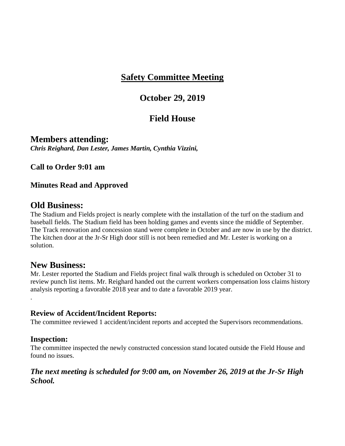### **October 29, 2019**

### **Field House**

**Members attending:** *Chris Reighard, Dan Lester, James Martin, Cynthia Vizzini,* 

**Call to Order 9:01 am**

### **Minutes Read and Approved**

### **Old Business:**

The Stadium and Fields project is nearly complete with the installation of the turf on the stadium and baseball fields. The Stadium field has been holding games and events since the middle of September. The Track renovation and concession stand were complete in October and are now in use by the district. The kitchen door at the Jr-Sr High door still is not been remedied and Mr. Lester is working on a solution.

### **New Business:**

Mr. Lester reported the Stadium and Fields project final walk through is scheduled on October 31 to review punch list items. Mr. Reighard handed out the current workers compensation loss claims history analysis reporting a favorable 2018 year and to date a favorable 2019 year. .

#### **Review of Accident/Incident Reports:**

The committee reviewed 1 accident/incident reports and accepted the Supervisors recommendations.

#### **Inspection:**

The committee inspected the newly constructed concession stand located outside the Field House and found no issues.

#### *The next meeting is scheduled for 9:00 am, on November 26, 2019 at the Jr-Sr High School.*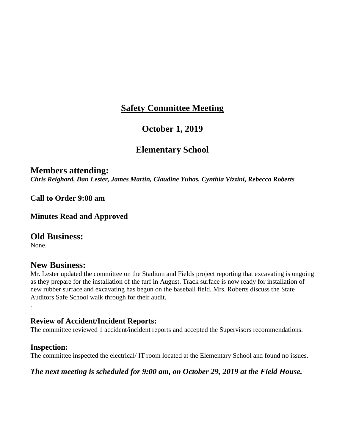### **October 1, 2019**

### **Elementary School**

### **Members attending:**

*Chris Reighard, Dan Lester, James Martin, Claudine Yuhas, Cynthia Vizzini, Rebecca Roberts*

**Call to Order 9:08 am**

**Minutes Read and Approved**

### **Old Business:**

None.

.

### **New Business:**

Mr. Lester updated the committee on the Stadium and Fields project reporting that excavating is ongoing as they prepare for the installation of the turf in August. Track surface is now ready for installation of new rubber surface and excavating has begun on the baseball field. Mrs. Roberts discuss the State Auditors Safe School walk through for their audit.

#### **Review of Accident/Incident Reports:**

The committee reviewed 1 accident/incident reports and accepted the Supervisors recommendations.

#### **Inspection:**

The committee inspected the electrical/ IT room located at the Elementary School and found no issues.

#### *The next meeting is scheduled for 9:00 am, on October 29, 2019 at the Field House.*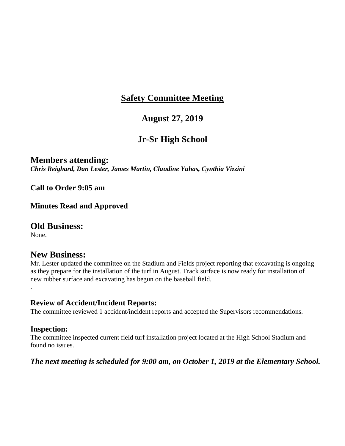## **August 27, 2019**

## **Jr-Sr High School**

### **Members attending:**

*Chris Reighard, Dan Lester, James Martin, Claudine Yuhas, Cynthia Vizzini* 

**Call to Order 9:05 am**

**Minutes Read and Approved**

#### **Old Business:**

None.

.

### **New Business:**

Mr. Lester updated the committee on the Stadium and Fields project reporting that excavating is ongoing as they prepare for the installation of the turf in August. Track surface is now ready for installation of new rubber surface and excavating has begun on the baseball field.

#### **Review of Accident/Incident Reports:**

The committee reviewed 1 accident/incident reports and accepted the Supervisors recommendations.

#### **Inspection:**

The committee inspected current field turf installation project located at the High School Stadium and found no issues.

#### *The next meeting is scheduled for 9:00 am, on October 1, 2019 at the Elementary School.*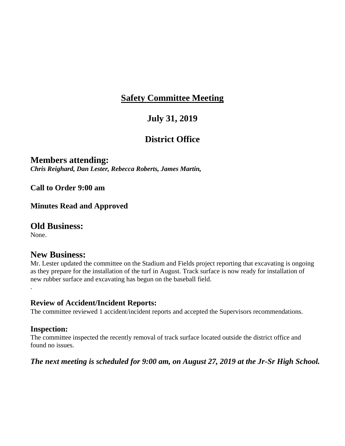## **July 31, 2019**

## **District Office**

### **Members attending:**

*Chris Reighard, Dan Lester, Rebecca Roberts, James Martin,* 

#### **Call to Order 9:00 am**

#### **Minutes Read and Approved**

### **Old Business:**

None.

.

### **New Business:**

Mr. Lester updated the committee on the Stadium and Fields project reporting that excavating is ongoing as they prepare for the installation of the turf in August. Track surface is now ready for installation of new rubber surface and excavating has begun on the baseball field.

#### **Review of Accident/Incident Reports:**

The committee reviewed 1 accident/incident reports and accepted the Supervisors recommendations.

#### **Inspection:**

The committee inspected the recently removal of track surface located outside the district office and found no issues.

#### *The next meeting is scheduled for 9:00 am, on August 27, 2019 at the Jr-Sr High School.*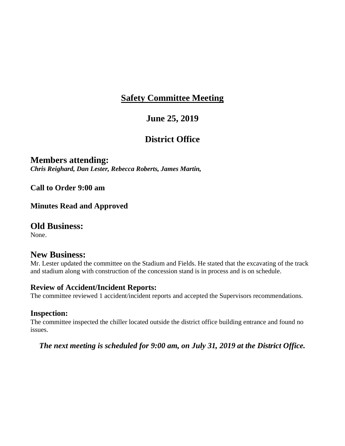## **June 25, 2019**

## **District Office**

### **Members attending:**

*Chris Reighard, Dan Lester, Rebecca Roberts, James Martin,* 

**Call to Order 9:00 am**

**Minutes Read and Approved**

### **Old Business:**

None.

### **New Business:**

Mr. Lester updated the committee on the Stadium and Fields. He stated that the excavating of the track and stadium along with construction of the concession stand is in process and is on schedule.

#### **Review of Accident/Incident Reports:**

The committee reviewed 1 accident/incident reports and accepted the Supervisors recommendations.

#### **Inspection:**

The committee inspected the chiller located outside the district office building entrance and found no issues.

*The next meeting is scheduled for 9:00 am, on July 31, 2019 at the District Office.*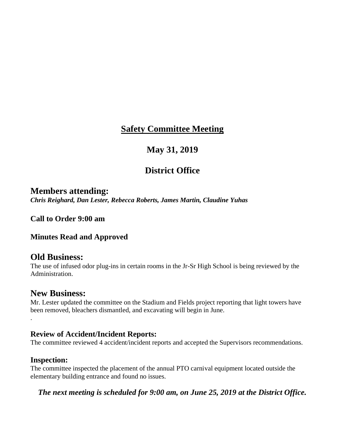## **May 31, 2019**

## **District Office**

### **Members attending:**

*Chris Reighard, Dan Lester, Rebecca Roberts, James Martin, Claudine Yuhas*

**Call to Order 9:00 am**

**Minutes Read and Approved**

### **Old Business:**

The use of infused odor plug-ins in certain rooms in the Jr-Sr High School is being reviewed by the Administration.

### **New Business:**

Mr. Lester updated the committee on the Stadium and Fields project reporting that light towers have been removed, bleachers dismantled, and excavating will begin in June.

#### **Review of Accident/Incident Reports:**

The committee reviewed 4 accident/incident reports and accepted the Supervisors recommendations.

#### **Inspection:**

.

The committee inspected the placement of the annual PTO carnival equipment located outside the elementary building entrance and found no issues.

*The next meeting is scheduled for 9:00 am, on June 25, 2019 at the District Office.*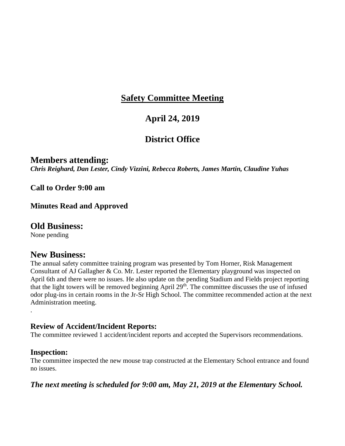## **April 24, 2019**

## **District Office**

### **Members attending:**

*Chris Reighard, Dan Lester, Cindy Vizzini, Rebecca Roberts, James Martin, Claudine Yuhas*

**Call to Order 9:00 am**

#### **Minutes Read and Approved**

### **Old Business:**

None pending

### **New Business:**

The annual safety committee training program was presented by Tom Horner, Risk Management Consultant of AJ Gallagher & Co. Mr. Lester reported the Elementary playground was inspected on April 6th and there were no issues. He also update on the pending Stadium and Fields project reporting that the light towers will be removed beginning April 29<sup>th</sup>. The committee discusses the use of infused odor plug-ins in certain rooms in the Jr-Sr High School. The committee recommended action at the next Administration meeting.

### **Review of Accident/Incident Reports:**

The committee reviewed 1 accident/incident reports and accepted the Supervisors recommendations.

#### **Inspection:**

.

The committee inspected the new mouse trap constructed at the Elementary School entrance and found no issues.

*The next meeting is scheduled for 9:00 am, May 21, 2019 at the Elementary School.*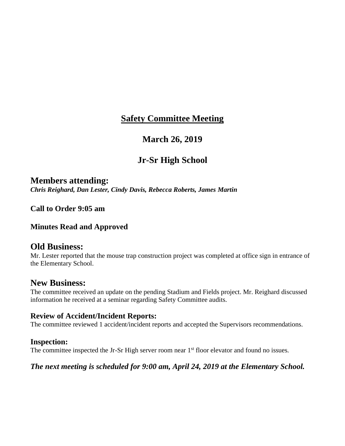## **March 26, 2019**

# **Jr-Sr High School**

**Members attending:** *Chris Reighard, Dan Lester, Cindy Davis, Rebecca Roberts, James Martin*

**Call to Order 9:05 am**

**Minutes Read and Approved**

## **Old Business:**

Mr. Lester reported that the mouse trap construction project was completed at office sign in entrance of the Elementary School.

## **New Business:**

The committee received an update on the pending Stadium and Fields project. Mr. Reighard discussed information he received at a seminar regarding Safety Committee audits.

## **Review of Accident/Incident Reports:**

The committee reviewed 1 accident/incident reports and accepted the Supervisors recommendations.

## **Inspection:**

The committee inspected the Jr-Sr High server room near 1<sup>st</sup> floor elevator and found no issues.

## *The next meeting is scheduled for 9:00 am, April 24, 2019 at the Elementary School.*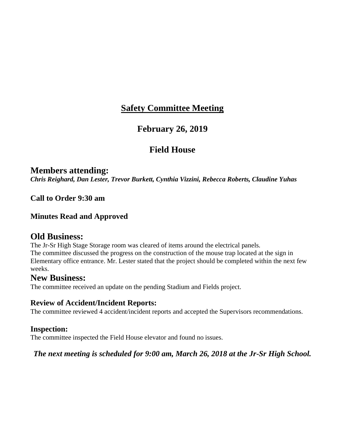## **February 26, 2019**

## **Field House**

## **Members attending:**

*Chris Reighard, Dan Lester, Trevor Burkett, Cynthia Vizzini, Rebecca Roberts, Claudine Yuhas*

**Call to Order 9:30 am**

## **Minutes Read and Approved**

## **Old Business:**

The Jr-Sr High Stage Storage room was cleared of items around the electrical panels. The committee discussed the progress on the construction of the mouse trap located at the sign in Elementary office entrance. Mr. Lester stated that the project should be completed within the next few weeks.

## **New Business:**

The committee received an update on the pending Stadium and Fields project.

## **Review of Accident/Incident Reports:**

The committee reviewed 4 accident/incident reports and accepted the Supervisors recommendations.

## **Inspection:**

The committee inspected the Field House elevator and found no issues.

## *The next meeting is scheduled for 9:00 am, March 26, 2018 at the Jr-Sr High School.*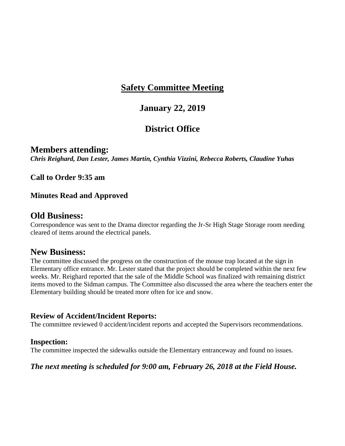## **January 22, 2019**

# **District Office**

#### **Members attending:** *Chris Reighard, Dan Lester, James Martin, Cynthia Vizzini, Rebecca Roberts, Claudine Yuhas*

**Call to Order 9:35 am**

## **Minutes Read and Approved**

## **Old Business:**

Correspondence was sent to the Drama director regarding the Jr-Sr High Stage Storage room needing cleared of items around the electrical panels.

## **New Business:**

The committee discussed the progress on the construction of the mouse trap located at the sign in Elementary office entrance. Mr. Lester stated that the project should be completed within the next few weeks. Mr. Reighard reported that the sale of the Middle School was finalized with remaining district items moved to the Sidman campus. The Committee also discussed the area where the teachers enter the Elementary building should be treated more often for ice and snow.

## **Review of Accident/Incident Reports:**

The committee reviewed 0 accident/incident reports and accepted the Supervisors recommendations.

## **Inspection:**

The committee inspected the sidewalks outside the Elementary entranceway and found no issues.

## *The next meeting is scheduled for 9:00 am, February 26, 2018 at the Field House.*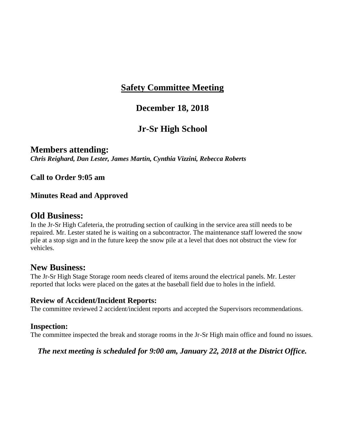## **December 18, 2018**

# **Jr-Sr High School**

**Members attending:** *Chris Reighard, Dan Lester, James Martin, Cynthia Vizzini, Rebecca Roberts*

**Call to Order 9:05 am**

## **Minutes Read and Approved**

## **Old Business:**

In the Jr-Sr High Cafeteria, the protruding section of caulking in the service area still needs to be repaired. Mr. Lester stated he is waiting on a subcontractor. The maintenance staff lowered the snow pile at a stop sign and in the future keep the snow pile at a level that does not obstruct the view for vehicles.

## **New Business:**

The Jr-Sr High Stage Storage room needs cleared of items around the electrical panels. Mr. Lester reported that locks were placed on the gates at the baseball field due to holes in the infield.

#### **Review of Accident/Incident Reports:**

The committee reviewed 2 accident/incident reports and accepted the Supervisors recommendations.

#### **Inspection:**

The committee inspected the break and storage rooms in the Jr-Sr High main office and found no issues.

#### *The next meeting is scheduled for 9:00 am, January 22, 2018 at the District Office.*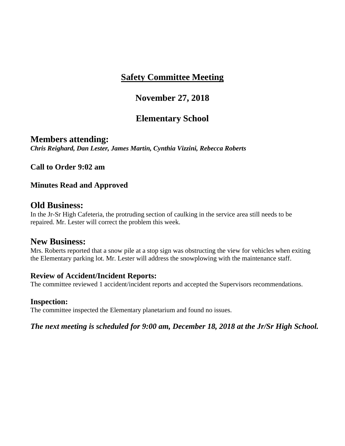# **November 27, 2018**

# **Elementary School**

**Members attending:** *Chris Reighard, Dan Lester, James Martin, Cynthia Vizzini, Rebecca Roberts*

**Call to Order 9:02 am**

## **Minutes Read and Approved**

## **Old Business:**

In the Jr-Sr High Cafeteria, the protruding section of caulking in the service area still needs to be repaired. Mr. Lester will correct the problem this week.

## **New Business:**

Mrs. Roberts reported that a snow pile at a stop sign was obstructing the view for vehicles when exiting the Elementary parking lot. Mr. Lester will address the snowplowing with the maintenance staff.

## **Review of Accident/Incident Reports:**

The committee reviewed 1 accident/incident reports and accepted the Supervisors recommendations.

## **Inspection:**

The committee inspected the Elementary planetarium and found no issues.

*The next meeting is scheduled for 9:00 am, December 18, 2018 at the Jr/Sr High School.*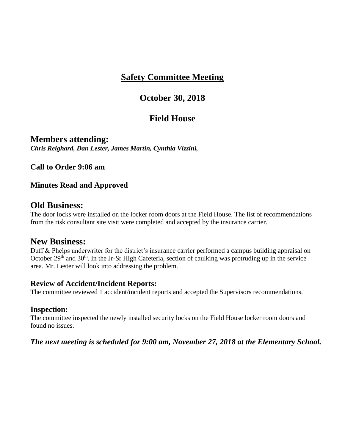## **October 30, 2018**

## **Field House**

**Members attending:** *Chris Reighard, Dan Lester, James Martin, Cynthia Vizzini,*

**Call to Order 9:06 am**

## **Minutes Read and Approved**

## **Old Business:**

The door locks were installed on the locker room doors at the Field House. The list of recommendations from the risk consultant site visit were completed and accepted by the insurance carrier.

## **New Business:**

Duff & Phelps underwriter for the district's insurance carrier performed a campus building appraisal on October  $29<sup>th</sup>$  and  $30<sup>th</sup>$ . In the Jr-Sr High Cafeteria, section of caulking was protruding up in the service area. Mr. Lester will look into addressing the problem.

## **Review of Accident/Incident Reports:**

The committee reviewed 1 accident/incident reports and accepted the Supervisors recommendations.

#### **Inspection:**

The committee inspected the newly installed security locks on the Field House locker room doors and found no issues.

## *The next meeting is scheduled for 9:00 am, November 27, 2018 at the Elementary School.*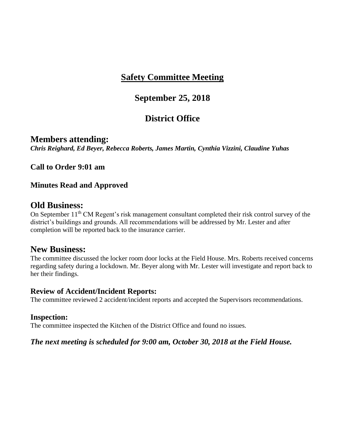## **September 25, 2018**

# **District Office**

## **Members attending:**

*Chris Reighard, Ed Beyer, Rebecca Roberts, James Martin, Cynthia Vizzini, Claudine Yuhas*

## **Call to Order 9:01 am**

## **Minutes Read and Approved**

## **Old Business:**

On September 11<sup>th</sup> CM Regent's risk management consultant completed their risk control survey of the district's buildings and grounds. All recommendations will be addressed by Mr. Lester and after completion will be reported back to the insurance carrier.

## **New Business:**

The committee discussed the locker room door locks at the Field House. Mrs. Roberts received concerns regarding safety during a lockdown. Mr. Beyer along with Mr. Lester will investigate and report back to her their findings.

## **Review of Accident/Incident Reports:**

The committee reviewed 2 accident/incident reports and accepted the Supervisors recommendations.

## **Inspection:**

The committee inspected the Kitchen of the District Office and found no issues.

## *The next meeting is scheduled for 9:00 am, October 30, 2018 at the Field House.*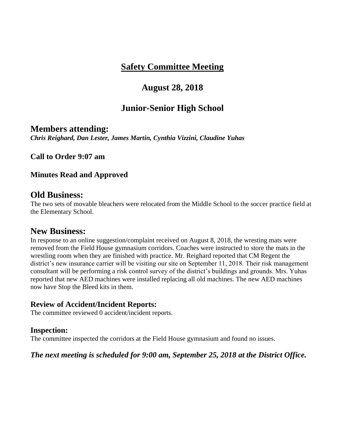## **August 28, 2018**

## **Junior-Senior High School**

## **Members attending:**

*Chris Reighard, Dan Lester, James Martin, Cynthia Vizzini, Claudine Yuhas*

**Call to Order 9:07 am**

## **Minutes Read and Approved**

## **Old Business:**

The two sets of movable bleachers were relocated from the Middle School to the soccer practice field at the Elementary School.

## **New Business:**

In response to an online suggestion/complaint received on August 8, 2018, the wresting mats were removed from the Field House gymnasium corridors. Coaches were instructed to store the mats in the wrestling room when they are finished with practice. Mr. Reighard reported that CM Regent the district's new insurance carrier will be visiting our site on September 11, 2018. Their risk management consultant will be performing a risk control survey of the district's buildings and grounds. Mrs. Yuhas reported that new AED machines were installed replacing all old machines. The new AED machines now have Stop the Bleed kits in them.

## **Review of Accident/Incident Reports:**

The committee reviewed 0 accident/incident reports.

#### **Inspection:**

The committee inspected the corridors at the Field House gymnasium and found no issues.

## *The next meeting is scheduled for 9:00 am, September 25, 2018 at the District Office.*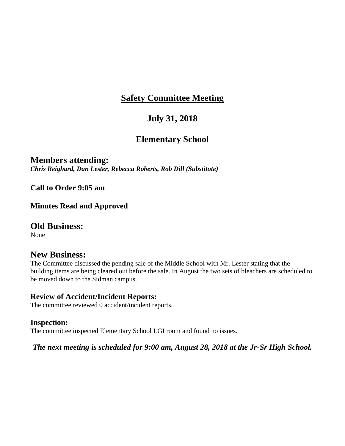# **July 31, 2018**

# **Elementary School**

## **Members attending:**

*Chris Reighard, Dan Lester, Rebecca Roberts, Rob Dill (Substitute)*

**Call to Order 9:05 am**

**Minutes Read and Approved**

## **Old Business:**

None

## **New Business:**

The Committee discussed the pending sale of the Middle School with Mr. Lester stating that the building items are being cleared out before the sale. In August the two sets of bleachers are scheduled to be moved down to the Sidman campus.

## **Review of Accident/Incident Reports:**

The committee reviewed 0 accident/incident reports.

## **Inspection:**

The committee inspected Elementary School LGI room and found no issues.

*The next meeting is scheduled for 9:00 am, August 28, 2018 at the Jr-Sr High School.*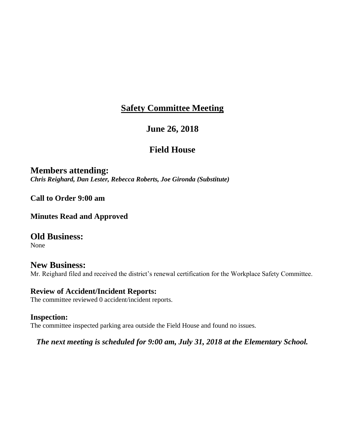## **June 26, 2018**

## **Field House**

**Members attending:** *Chris Reighard, Dan Lester, Rebecca Roberts, Joe Gironda (Substitute)*

**Call to Order 9:00 am**

**Minutes Read and Approved**

**Old Business:** None

**New Business:** Mr. Reighard filed and received the district's renewal certification for the Workplace Safety Committee.

**Review of Accident/Incident Reports:** The committee reviewed 0 accident/incident reports.

**Inspection:** The committee inspected parking area outside the Field House and found no issues.

*The next meeting is scheduled for 9:00 am, July 31, 2018 at the Elementary School.*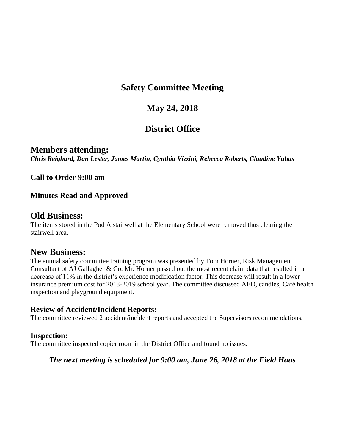# **May 24, 2018**

# **District Office**

# **Members attending:**

*Chris Reighard, Dan Lester, James Martin, Cynthia Vizzini, Rebecca Roberts, Claudine Yuhas*

**Call to Order 9:00 am**

## **Minutes Read and Approved**

## **Old Business:**

The items stored in the Pod A stairwell at the Elementary School were removed thus clearing the stairwell area.

## **New Business:**

The annual safety committee training program was presented by Tom Horner, Risk Management Consultant of AJ Gallagher & Co. Mr. Horner passed out the most recent claim data that resulted in a decrease of 11% in the district's experience modification factor. This decrease will result in a lower insurance premium cost for 2018-2019 school year. The committee discussed AED, candles, Café health inspection and playground equipment.

## **Review of Accident/Incident Reports:**

The committee reviewed 2 accident/incident reports and accepted the Supervisors recommendations.

## **Inspection:**

The committee inspected copier room in the District Office and found no issues.

## *The next meeting is scheduled for 9:00 am, June 26, 2018 at the Field Hous*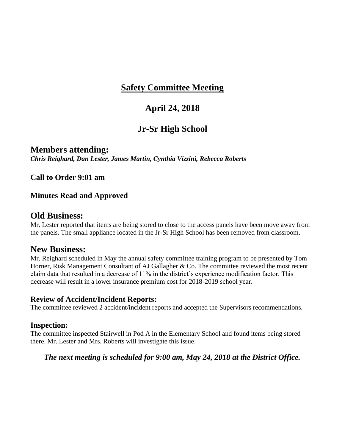# **April 24, 2018**

# **Jr-Sr High School**

**Members attending:** *Chris Reighard, Dan Lester, James Martin, Cynthia Vizzini, Rebecca Roberts*

**Call to Order 9:01 am**

## **Minutes Read and Approved**

## **Old Business:**

Mr. Lester reported that items are being stored to close to the access panels have been move away from the panels. The small appliance located in the Jr-Sr High School has been removed from classroom.

## **New Business:**

Mr. Reighard scheduled in May the annual safety committee training program to be presented by Tom Horner, Risk Management Consultant of AJ Gallagher & Co. The committee reviewed the most recent claim data that resulted in a decrease of 11% in the district's experience modification factor. This decrease will result in a lower insurance premium cost for 2018-2019 school year.

#### **Review of Accident/Incident Reports:**

The committee reviewed 2 accident/incident reports and accepted the Supervisors recommendations.

#### **Inspection:**

The committee inspected Stairwell in Pod A in the Elementary School and found items being stored there. Mr. Lester and Mrs. Roberts will investigate this issue.

## *The next meeting is scheduled for 9:00 am, May 24, 2018 at the District Office.*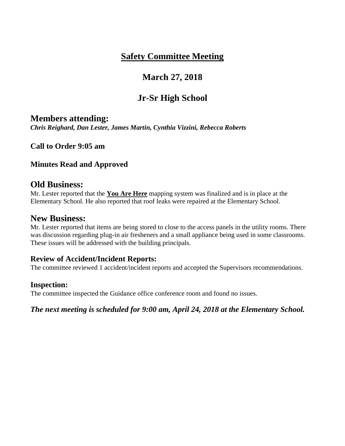# **March 27, 2018**

# **Jr-Sr High School**

## **Members attending:**

*Chris Reighard, Dan Lester, James Martin, Cynthia Vizzini, Rebecca Roberts*

**Call to Order 9:05 am**

## **Minutes Read and Approved**

## **Old Business:**

Mr. Lester reported that the **You Are Here** mapping system was finalized and is in place at the Elementary School. He also reported that roof leaks were repaired at the Elementary School.

## **New Business:**

Mr. Lester reported that items are being stored to close to the access panels in the utility rooms. There was discussion regarding plug-in air fresheners and a small appliance being used in some classrooms. These issues will be addressed with the building principals.

## **Review of Accident/Incident Reports:**

The committee reviewed 1 accident/incident reports and accepted the Supervisors recommendations.

## **Inspection:**

The committee inspected the Guidance office conference room and found no issues.

*The next meeting is scheduled for 9:00 am, April 24, 2018 at the Elementary School.*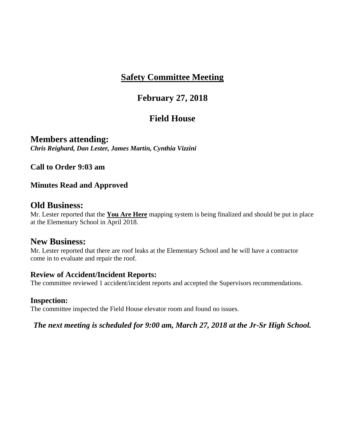# **February 27, 2018**

# **Field House**

**Members attending:** *Chris Reighard, Dan Lester, James Martin, Cynthia Vizzini*

**Call to Order 9:03 am**

## **Minutes Read and Approved**

## **Old Business:**

Mr. Lester reported that the **You Are Here** mapping system is being finalized and should be put in place at the Elementary School in April 2018.

## **New Business:**

Mr. Lester reported that there are roof leaks at the Elementary School and he will have a contractor come in to evaluate and repair the roof.

## **Review of Accident/Incident Reports:**

The committee reviewed 1 accident/incident reports and accepted the Supervisors recommendations.

## **Inspection:**

The committee inspected the Field House elevator room and found no issues.

*The next meeting is scheduled for 9:00 am, March 27, 2018 at the Jr-Sr High School.*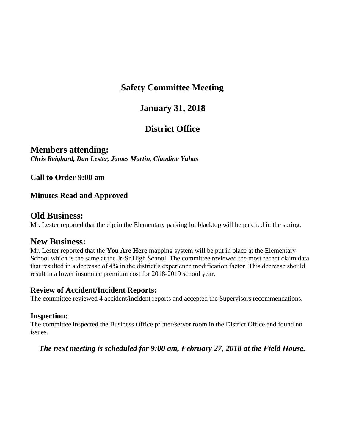# **January 31, 2018**

# **District Office**

**Members attending:** *Chris Reighard, Dan Lester, James Martin, Claudine Yuhas*

**Call to Order 9:00 am**

## **Minutes Read and Approved**

## **Old Business:**

Mr. Lester reported that the dip in the Elementary parking lot blacktop will be patched in the spring.

## **New Business:**

Mr. Lester reported that the **You Are Here** mapping system will be put in place at the Elementary School which is the same at the Jr-Sr High School. The committee reviewed the most recent claim data that resulted in a decrease of 4% in the district's experience modification factor. This decrease should result in a lower insurance premium cost for 2018-2019 school year.

#### **Review of Accident/Incident Reports:**

The committee reviewed 4 accident/incident reports and accepted the Supervisors recommendations.

## **Inspection:**

The committee inspected the Business Office printer/server room in the District Office and found no issues.

*The next meeting is scheduled for 9:00 am, February 27, 2018 at the Field House.*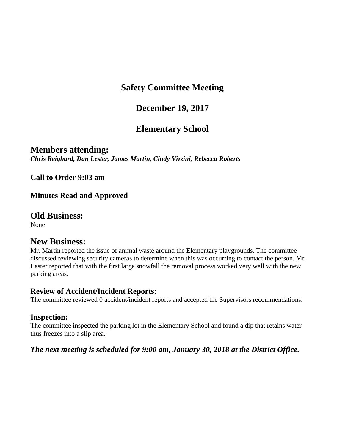# **December 19, 2017**

# **Elementary School**

**Members attending:** *Chris Reighard, Dan Lester, James Martin, Cindy Vizzini, Rebecca Roberts*

**Call to Order 9:03 am**

**Minutes Read and Approved**

## **Old Business:**

None

## **New Business:**

Mr. Martin reported the issue of animal waste around the Elementary playgrounds. The committee discussed reviewing security cameras to determine when this was occurring to contact the person. Mr. Lester reported that with the first large snowfall the removal process worked very well with the new parking areas.

## **Review of Accident/Incident Reports:**

The committee reviewed 0 accident/incident reports and accepted the Supervisors recommendations.

## **Inspection:**

The committee inspected the parking lot in the Elementary School and found a dip that retains water thus freezes into a slip area.

## *The next meeting is scheduled for 9:00 am, January 30, 2018 at the District Office.*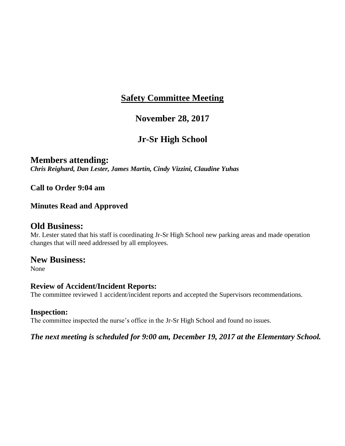## **November 28, 2017**

# **Jr-Sr High School**

## **Members attending:**

*Chris Reighard, Dan Lester, James Martin, Cindy Vizzini, Claudine Yuhas*

**Call to Order 9:04 am**

## **Minutes Read and Approved**

## **Old Business:**

Mr. Lester stated that his staff is coordinating Jr-Sr High School new parking areas and made operation changes that will need addressed by all employees.

## **New Business:**

None

## **Review of Accident/Incident Reports:**

The committee reviewed 1 accident/incident reports and accepted the Supervisors recommendations.

## **Inspection:**

The committee inspected the nurse's office in the Jr-Sr High School and found no issues.

## *The next meeting is scheduled for 9:00 am, December 19, 2017 at the Elementary School.*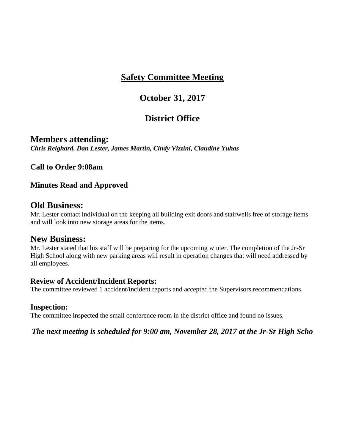# **October 31, 2017**

# **District Office**

**Members attending:** *Chris Reighard, Dan Lester, James Martin, Cindy Vizzini, Claudine Yuhas*

**Call to Order 9:08am**

## **Minutes Read and Approved**

## **Old Business:**

Mr. Lester contact individual on the keeping all building exit doors and stairwells free of storage items and will look into new storage areas for the items.

## **New Business:**

Mr. Lester stated that his staff will be preparing for the upcoming winter. The completion of the Jr-Sr High School along with new parking areas will result in operation changes that will need addressed by all employees.

## **Review of Accident/Incident Reports:**

The committee reviewed 1 accident/incident reports and accepted the Supervisors recommendations.

## **Inspection:**

The committee inspected the small conference room in the district office and found no issues.

*The next meeting is scheduled for 9:00 am, November 28, 2017 at the Jr-Sr High Scho*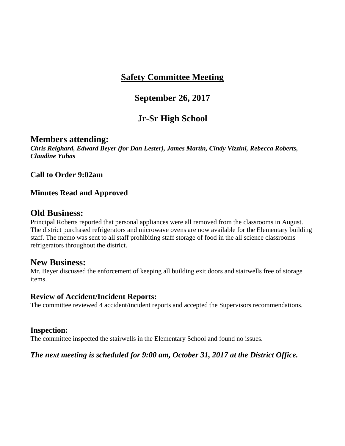# **September 26, 2017**

# **Jr-Sr High School**

## **Members attending:**

*Chris Reighard, Edward Beyer (for Dan Lester), James Martin, Cindy Vizzini, Rebecca Roberts, Claudine Yuhas*

#### **Call to Order 9:02am**

## **Minutes Read and Approved**

## **Old Business:**

Principal Roberts reported that personal appliances were all removed from the classrooms in August. The district purchased refrigerators and microwave ovens are now available for the Elementary building staff. The memo was sent to all staff prohibiting staff storage of food in the all science classrooms refrigerators throughout the district.

## **New Business:**

Mr. Beyer discussed the enforcement of keeping all building exit doors and stairwells free of storage items.

#### **Review of Accident/Incident Reports:**

The committee reviewed 4 accident/incident reports and accepted the Supervisors recommendations.

#### **Inspection:**

The committee inspected the stairwells in the Elementary School and found no issues.

#### *The next meeting is scheduled for 9:00 am, October 31, 2017 at the District Office.*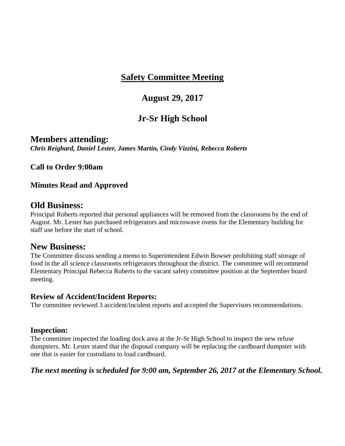## **August 29, 2017**

# **Jr-Sr High School**

**Members attending:** *Chris Reighard, Daniel Lester, James Martin, Cindy Vizzini, Rebecca Roberts*

**Call to Order 9:00am**

## **Minutes Read and Approved**

## **Old Business:**

Principal Roberts reported that personal appliances will be removed from the classrooms by the end of August. Mr. Lester has purchased refrigerators and microwave ovens for the Elementary building for staff use before the start of school.

## **New Business:**

The Committee discuss sending a memo to Superintendent Edwin Bowser prohibiting staff storage of food in the all science classrooms refrigerators throughout the district. The committee will recommend Elementary Principal Rebecca Roberts to the vacant safety committee position at the September board meeting.

#### **Review of Accident/Incident Reports:**

The committee reviewed 3 accident/incident reports and accepted the Supervisors recommendations.

## **Inspection:**

The committee inspected the loading dock area at the Jr-Sr High School to inspect the new refuse dumpsters. Mr. Lester stated that the disposal company will be replacing the cardboard dumpster with one that is easier for custodians to load cardboard.

## *The next meeting is scheduled for 9:00 am, September 26, 2017 at the Elementary School.*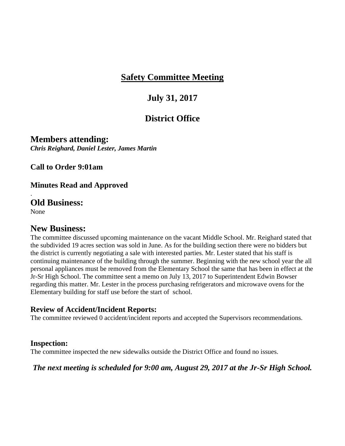# **July 31, 2017**

# **District Office**

**Members attending:** *Chris Reighard, Daniel Lester, James Martin*

**Call to Order 9:01am**

**Minutes Read and Approved**

**Old Business:**

None

.

## **New Business:**

The committee discussed upcoming maintenance on the vacant Middle School. Mr. Reighard stated that the subdivided 19 acres section was sold in June. As for the building section there were no bidders but the district is currently negotiating a sale with interested parties. Mr. Lester stated that his staff is continuing maintenance of the building through the summer. Beginning with the new school year the all personal appliances must be removed from the Elementary School the same that has been in effect at the Jr-Sr High School. The committee sent a memo on July 13, 2017 to Superintendent Edwin Bowser regarding this matter. Mr. Lester in the process purchasing refrigerators and microwave ovens for the Elementary building for staff use before the start of school.

## **Review of Accident/Incident Reports:**

The committee reviewed 0 accident/incident reports and accepted the Supervisors recommendations.

## **Inspection:**

The committee inspected the new sidewalks outside the District Office and found no issues.

*The next meeting is scheduled for 9:00 am, August 29, 2017 at the Jr-Sr High School.*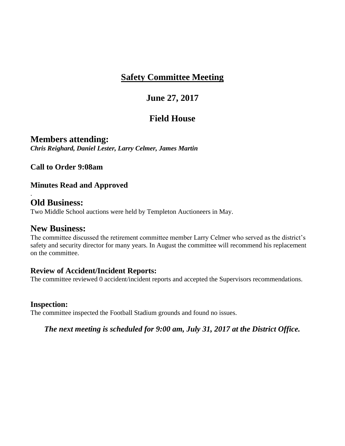# **June 27, 2017**

# **Field House**

**Members attending:** *Chris Reighard, Daniel Lester, Larry Celmer, James Martin*

**Call to Order 9:08am**

## **Minutes Read and Approved**

## **Old Business:**

.

Two Middle School auctions were held by Templeton Auctioneers in May.

## **New Business:**

The committee discussed the retirement committee member Larry Celmer who served as the district's safety and security director for many years. In August the committee will recommend his replacement on the committee.

## **Review of Accident/Incident Reports:**

The committee reviewed 0 accident/incident reports and accepted the Supervisors recommendations.

## **Inspection:**

The committee inspected the Football Stadium grounds and found no issues.

*The next meeting is scheduled for 9:00 am, July 31, 2017 at the District Office.*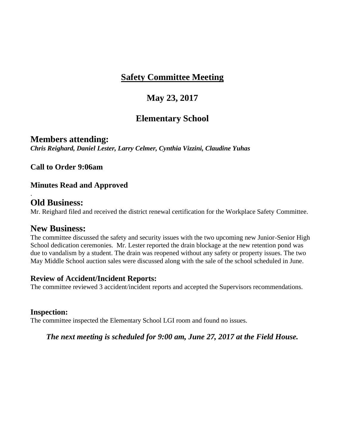# **May 23, 2017**

# **Elementary School**

**Members attending:** *Chris Reighard, Daniel Lester, Larry Celmer, Cynthia Vizzini, Claudine Yuhas*

**Call to Order 9:06am**

**Minutes Read and Approved**

## **Old Business:**

.

Mr. Reighard filed and received the district renewal certification for the Workplace Safety Committee.

## **New Business:**

The committee discussed the safety and security issues with the two upcoming new Junior-Senior High School dedication ceremonies. Mr. Lester reported the drain blockage at the new retention pond was due to vandalism by a student. The drain was reopened without any safety or property issues. The two May Middle School auction sales were discussed along with the sale of the school scheduled in June.

## **Review of Accident/Incident Reports:**

The committee reviewed 3 accident/incident reports and accepted the Supervisors recommendations.

## **Inspection:**

The committee inspected the Elementary School LGI room and found no issues.

*The next meeting is scheduled for 9:00 am, June 27, 2017 at the Field House.*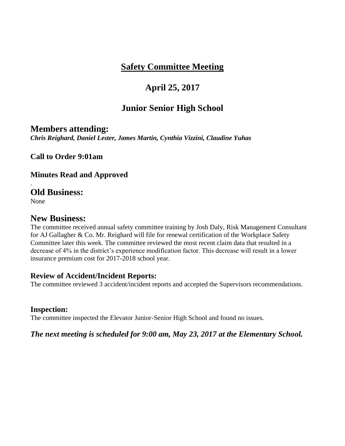# **April 25, 2017**

## **Junior Senior High School**

## **Members attending:**

*Chris Reighard, Daniel Lester, James Martin, Cynthia Vizzini, Claudine Yuhas*

**Call to Order 9:01am**

**Minutes Read and Approved**

## **Old Business:**

None

.

## **New Business:**

The committee received annual safety committee training by Josh Daly, Risk Management Consultant for AJ Gallagher & Co. Mr. Reighard will file for renewal certification of the Workplace Safety Committee later this week. The committee reviewed the most recent claim data that resulted in a decrease of 4% in the district's experience modification factor. This decrease will result in a lower insurance premium cost for 2017-2018 school year.

## **Review of Accident/Incident Reports:**

The committee reviewed 3 accident/incident reports and accepted the Supervisors recommendations.

## **Inspection:**

The committee inspected the Elevator Junior-Senior High School and found no issues.

## *The next meeting is scheduled for 9:00 am, May 23, 2017 at the Elementary School.*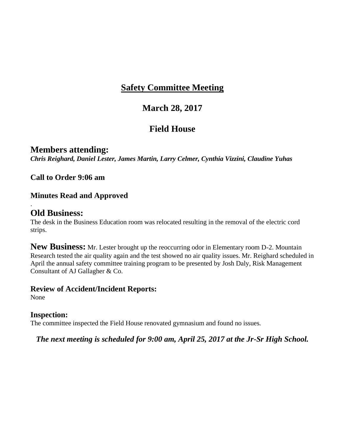# **March 28, 2017**

# **Field House**

# **Members attending:**

*Chris Reighard, Daniel Lester, James Martin, Larry Celmer, Cynthia Vizzini, Claudine Yuhas*

**Call to Order 9:06 am**

## **Minutes Read and Approved**

## **Old Business:**

The desk in the Business Education room was relocated resulting in the removal of the electric cord strips.

**New Business:** Mr. Lester brought up the reoccurring odor in Elementary room D-2. Mountain Research tested the air quality again and the test showed no air quality issues. Mr. Reighard scheduled in April the annual safety committee training program to be presented by Josh Daly, Risk Management Consultant of AJ Gallagher & Co.

## **Review of Accident/Incident Reports:**

None

.

## **Inspection:**

The committee inspected the Field House renovated gymnasium and found no issues.

*The next meeting is scheduled for 9:00 am, April 25, 2017 at the Jr-Sr High School.*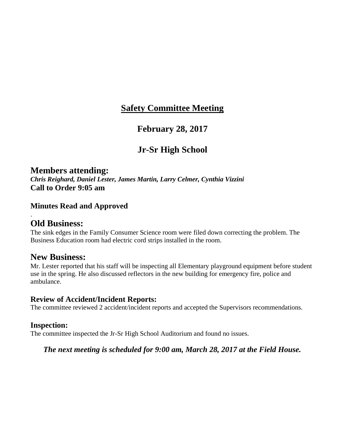## **February 28, 2017**

# **Jr-Sr High School**

## **Members attending:**

*Chris Reighard, Daniel Lester, James Martin, Larry Celmer, Cynthia Vizzini* **Call to Order 9:05 am**

## **Minutes Read and Approved**

## **Old Business:**

.

The sink edges in the Family Consumer Science room were filed down correcting the problem. The Business Education room had electric cord strips installed in the room.

## **New Business:**

Mr. Lester reported that his staff will be inspecting all Elementary playground equipment before student use in the spring. He also discussed reflectors in the new building for emergency fire, police and ambulance.

#### **Review of Accident/Incident Reports:**

The committee reviewed 2 accident/incident reports and accepted the Supervisors recommendations.

## **Inspection:**

The committee inspected the Jr-Sr High School Auditorium and found no issues.

*The next meeting is scheduled for 9:00 am, March 28, 2017 at the Field House.*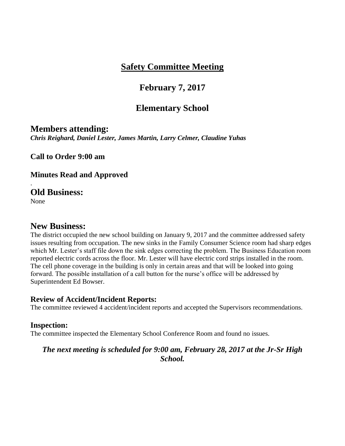# **February 7, 2017**

# **Elementary School**

## **Members attending:**

*Chris Reighard, Daniel Lester, James Martin, Larry Celmer, Claudine Yuhas* 

**Call to Order 9:00 am**

**Minutes Read and Approved**

## **Old Business:**

None

.

## **New Business:**

The district occupied the new school building on January 9, 2017 and the committee addressed safety issues resulting from occupation. The new sinks in the Family Consumer Science room had sharp edges which Mr. Lester's staff file down the sink edges correcting the problem. The Business Education room reported electric cords across the floor. Mr. Lester will have electric cord strips installed in the room. The cell phone coverage in the building is only in certain areas and that will be looked into going forward. The possible installation of a call button for the nurse's office will be addressed by Superintendent Ed Bowser.

## **Review of Accident/Incident Reports:**

The committee reviewed 4 accident/incident reports and accepted the Supervisors recommendations.

## **Inspection:**

The committee inspected the Elementary School Conference Room and found no issues.

## *The next meeting is scheduled for 9:00 am, February 28, 2017 at the Jr-Sr High School.*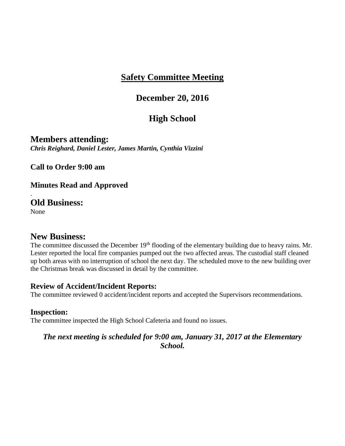## **December 20, 2016**

# **High School**

**Members attending:** *Chris Reighard, Daniel Lester, James Martin, Cynthia Vizzini* 

**Call to Order 9:00 am**

**Minutes Read and Approved**

**Old Business:** None

.

## **New Business:**

The committee discussed the December 19<sup>th</sup> flooding of the elementary building due to heavy rains. Mr. Lester reported the local fire companies pumped out the two affected areas. The custodial staff cleaned up both areas with no interruption of school the next day. The scheduled move to the new building over the Christmas break was discussed in detail by the committee.

## **Review of Accident/Incident Reports:**

The committee reviewed 0 accident/incident reports and accepted the Supervisors recommendations.

## **Inspection:**

The committee inspected the High School Cafeteria and found no issues.

## *The next meeting is scheduled for 9:00 am, January 31, 2017 at the Elementary School.*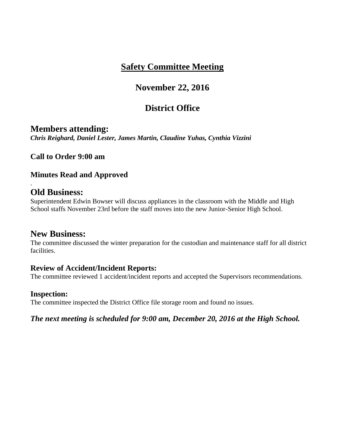# **November 22, 2016**

# **District Office**

## **Members attending:**

*Chris Reighard, Daniel Lester, James Martin, Claudine Yuhas, Cynthia Vizzini* 

**Call to Order 9:00 am**

## **Minutes Read and Approved**

## **Old Business:**

.

Superintendent Edwin Bowser will discuss appliances in the classroom with the Middle and High School staffs November 23rd before the staff moves into the new Junior-Senior High School.

## **New Business:**

The committee discussed the winter preparation for the custodian and maintenance staff for all district facilities.

## **Review of Accident/Incident Reports:**

The committee reviewed 1 accident/incident reports and accepted the Supervisors recommendations.

## **Inspection:**

The committee inspected the District Office file storage room and found no issues.

*The next meeting is scheduled for 9:00 am, December 20, 2016 at the High School.*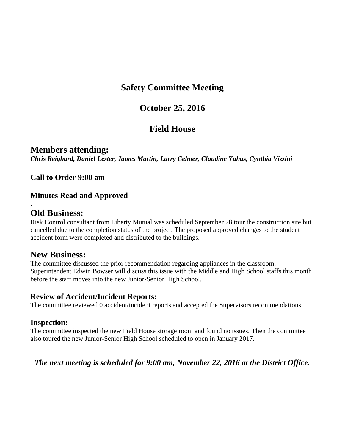## **October 25, 2016**

# **Field House**

## **Members attending:**

*Chris Reighard, Daniel Lester, James Martin, Larry Celmer, Claudine Yuhas, Cynthia Vizzini* 

**Call to Order 9:00 am**

## **Minutes Read and Approved**

## **Old Business:**

.

Risk Control consultant from Liberty Mutual was scheduled September 28 tour the construction site but cancelled due to the completion status of the project. The proposed approved changes to the student accident form were completed and distributed to the buildings.

## **New Business:**

The committee discussed the prior recommendation regarding appliances in the classroom. Superintendent Edwin Bowser will discuss this issue with the Middle and High School staffs this month before the staff moves into the new Junior-Senior High School.

## **Review of Accident/Incident Reports:**

The committee reviewed 0 accident/incident reports and accepted the Supervisors recommendations.

## **Inspection:**

The committee inspected the new Field House storage room and found no issues. Then the committee also toured the new Junior-Senior High School scheduled to open in January 2017.

## *The next meeting is scheduled for 9:00 am, November 22, 2016 at the District Office.*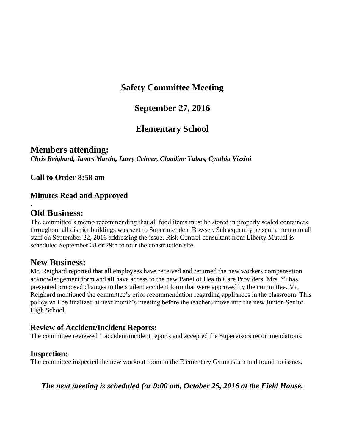# **September 27, 2016**

# **Elementary School**

**Members attending:** *Chris Reighard, James Martin, Larry Celmer, Claudine Yuhas, Cynthia Vizzini* 

**Call to Order 8:58 am**

## **Minutes Read and Approved**

## **Old Business:**

.

The committee's memo recommending that all food items must be stored in properly sealed containers throughout all district buildings was sent to Superintendent Bowser. Subsequently he sent a memo to all staff on September 22, 2016 addressing the issue. Risk Control consultant from Liberty Mutual is scheduled September 28 or 29th to tour the construction site.

## **New Business:**

Mr. Reighard reported that all employees have received and returned the new workers compensation acknowledgement form and all have access to the new Panel of Health Care Providers. Mrs. Yuhas presented proposed changes to the student accident form that were approved by the committee. Mr. Reighard mentioned the committee's prior recommendation regarding appliances in the classroom. This policy will be finalized at next month's meeting before the teachers move into the new Junior-Senior High School.

## **Review of Accident/Incident Reports:**

The committee reviewed 1 accident/incident reports and accepted the Supervisors recommendations.

## **Inspection:**

The committee inspected the new workout room in the Elementary Gymnasium and found no issues.

*The next meeting is scheduled for 9:00 am, October 25, 2016 at the Field House.*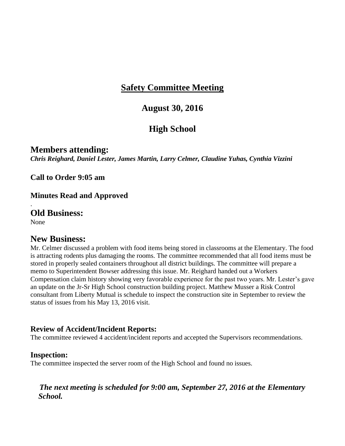## **August 30, 2016**

# **High School**

**Members attending:** *Chris Reighard, Daniel Lester, James Martin, Larry Celmer, Claudine Yuhas, Cynthia Vizzini* 

**Call to Order 9:05 am**

**Minutes Read and Approved**

**Old Business:**

None

.

## **New Business:**

Mr. Celmer discussed a problem with food items being stored in classrooms at the Elementary. The food is attracting rodents plus damaging the rooms. The committee recommended that all food items must be stored in properly sealed containers throughout all district buildings. The committee will prepare a memo to Superintendent Bowser addressing this issue. Mr. Reighard handed out a Workers Compensation claim history showing very favorable experience for the past two years. Mr. Lester's gave an update on the Jr-Sr High School construction building project. Matthew Musser a Risk Control consultant from Liberty Mutual is schedule to inspect the construction site in September to review the status of issues from his May 13, 2016 visit.

## **Review of Accident/Incident Reports:**

The committee reviewed 4 accident/incident reports and accepted the Supervisors recommendations.

#### **Inspection:**

The committee inspected the server room of the High School and found no issues.

## *The next meeting is scheduled for 9:00 am, September 27, 2016 at the Elementary School.*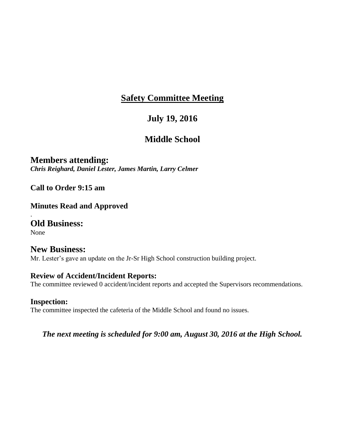# **July 19, 2016**

# **Middle School**

**Members attending:** *Chris Reighard, Daniel Lester, James Martin, Larry Celmer* 

**Call to Order 9:15 am**

**Minutes Read and Approved**

**Old Business:** None

.

**New Business:** Mr. Lester's gave an update on the Jr-Sr High School construction building project.

## **Review of Accident/Incident Reports:**

The committee reviewed 0 accident/incident reports and accepted the Supervisors recommendations.

## **Inspection:**

The committee inspected the cafeteria of the Middle School and found no issues.

*The next meeting is scheduled for 9:00 am, August 30, 2016 at the High School.*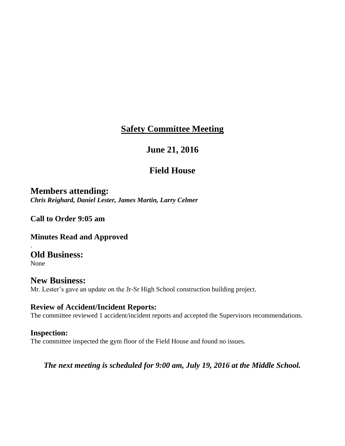# **June 21, 2016**

# **Field House**

**Members attending:** *Chris Reighard, Daniel Lester, James Martin, Larry Celmer* 

**Call to Order 9:05 am**

**Minutes Read and Approved**

**Old Business:**

None

.

## **New Business:** Mr. Lester's gave an update on the Jr-Sr High School construction building project.

## **Review of Accident/Incident Reports:**

The committee reviewed 1 accident/incident reports and accepted the Supervisors recommendations.

## **Inspection:**

The committee inspected the gym floor of the Field House and found no issues.

*The next meeting is scheduled for 9:00 am, July 19, 2016 at the Middle School.*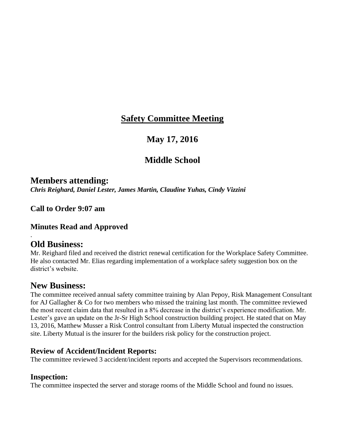# **May 17, 2016**

# **Middle School**

## **Members attending:**

*Chris Reighard, Daniel Lester, James Martin, Claudine Yuhas, Cindy Vizzini* 

**Call to Order 9:07 am**

### **Minutes Read and Approved**

## **Old Business:**

.

Mr. Reighard filed and received the district renewal certification for the Workplace Safety Committee. He also contacted Mr. Elias regarding implementation of a workplace safety suggestion box on the district's website.

## **New Business:**

The committee received annual safety committee training by Alan Pepoy, Risk Management Consultant for AJ Gallagher & Co for two members who missed the training last month. The committee reviewed the most recent claim data that resulted in a 8% decrease in the district's experience modification. Mr. Lester's gave an update on the Jr-Sr High School construction building project. He stated that on May 13, 2016, Matthew Musser a Risk Control consultant from Liberty Mutual inspected the construction site. Liberty Mutual is the insurer for the builders risk policy for the construction project.

## **Review of Accident/Incident Reports:**

The committee reviewed 3 accident/incident reports and accepted the Supervisors recommendations.

## **Inspection:**

The committee inspected the server and storage rooms of the Middle School and found no issues.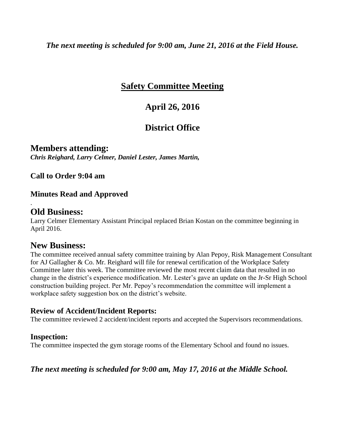*The next meeting is scheduled for 9:00 am, June 21, 2016 at the Field House.* 

# **Safety Committee Meeting**

# **April 26, 2016**

# **District Office**

**Members attending:** *Chris Reighard, Larry Celmer, Daniel Lester, James Martin,* 

**Call to Order 9:04 am**

## **Minutes Read and Approved**

## **Old Business:**

.

Larry Celmer Elementary Assistant Principal replaced Brian Kostan on the committee beginning in April 2016.

## **New Business:**

The committee received annual safety committee training by Alan Pepoy, Risk Management Consultant for AJ Gallagher & Co. Mr. Reighard will file for renewal certification of the Workplace Safety Committee later this week. The committee reviewed the most recent claim data that resulted in no change in the district's experience modification. Mr. Lester's gave an update on the Jr-Sr High School construction building project. Per Mr. Pepoy's recommendation the committee will implement a workplace safety suggestion box on the district's website.

## **Review of Accident/Incident Reports:**

The committee reviewed 2 accident/incident reports and accepted the Supervisors recommendations.

## **Inspection:**

The committee inspected the gym storage rooms of the Elementary School and found no issues.

## *The next meeting is scheduled for 9:00 am, May 17, 2016 at the Middle School.*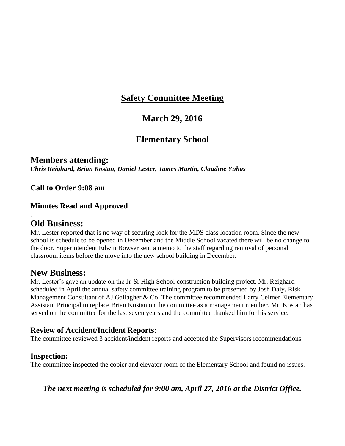## **March 29, 2016**

## **Elementary School**

### **Members attending:**

*Chris Reighard, Brian Kostan, Daniel Lester, James Martin, Claudine Yuhas*

**Call to Order 9:08 am**

#### **Minutes Read and Approved**

### **Old Business:**

.

Mr. Lester reported that is no way of securing lock for the MDS class location room. Since the new school is schedule to be opened in December and the Middle School vacated there will be no change to the door. Superintendent Edwin Bowser sent a memo to the staff regarding removal of personal classroom items before the move into the new school building in December.

### **New Business:**

Mr. Lester's gave an update on the Jr-Sr High School construction building project. Mr. Reighard scheduled in April the annual safety committee training program to be presented by Josh Daly, Risk Management Consultant of AJ Gallagher & Co. The committee recommended Larry Celmer Elementary Assistant Principal to replace Brian Kostan on the committee as a management member. Mr. Kostan has served on the committee for the last seven years and the committee thanked him for his service.

#### **Review of Accident/Incident Reports:**

The committee reviewed 3 accident/incident reports and accepted the Supervisors recommendations.

#### **Inspection:**

The committee inspected the copier and elevator room of the Elementary School and found no issues.

*The next meeting is scheduled for 9:00 am, April 27, 2016 at the District Office.*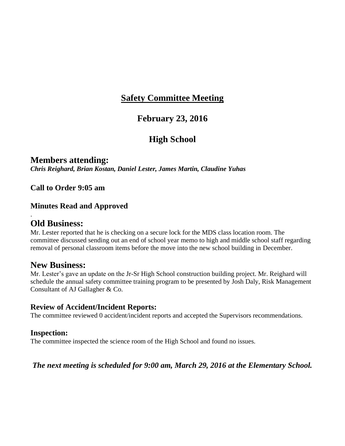## **February 23, 2016**

## **High School**

#### **Members attending:** *Chris Reighard, Brian Kostan, Daniel Lester, James Martin, Claudine Yuhas*

#### **Call to Order 9:05 am**

#### **Minutes Read and Approved**

### **Old Business:**

.

Mr. Lester reported that he is checking on a secure lock for the MDS class location room. The committee discussed sending out an end of school year memo to high and middle school staff regarding removal of personal classroom items before the move into the new school building in December.

### **New Business:**

Mr. Lester's gave an update on the Jr-Sr High School construction building project. Mr. Reighard will schedule the annual safety committee training program to be presented by Josh Daly, Risk Management Consultant of AJ Gallagher & Co.

#### **Review of Accident/Incident Reports:**

The committee reviewed 0 accident/incident reports and accepted the Supervisors recommendations.

#### **Inspection:**

The committee inspected the science room of the High School and found no issues.

#### *The next meeting is scheduled for 9:00 am, March 29, 2016 at the Elementary School.*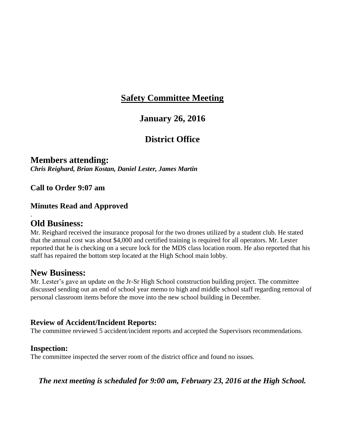### **January 26, 2016**

## **District Office**

### **Members attending:**

*Chris Reighard, Brian Kostan, Daniel Lester, James Martin*

**Call to Order 9:07 am**

#### **Minutes Read and Approved**

### **Old Business:**

.

Mr. Reighard received the insurance proposal for the two drones utilized by a student club. He stated that the annual cost was about \$4,000 and certified training is required for all operators. Mr. Lester reported that he is checking on a secure lock for the MDS class location room. He also reported that his staff has repaired the bottom step located at the High School main lobby.

### **New Business:**

Mr. Lester's gave an update on the Jr-Sr High School construction building project. The committee discussed sending out an end of school year memo to high and middle school staff regarding removal of personal classroom items before the move into the new school building in December.

### **Review of Accident/Incident Reports:**

The committee reviewed 5 accident/incident reports and accepted the Supervisors recommendations.

#### **Inspection:**

The committee inspected the server room of the district office and found no issues.

*The next meeting is scheduled for 9:00 am, February 23, 2016 at the High School.*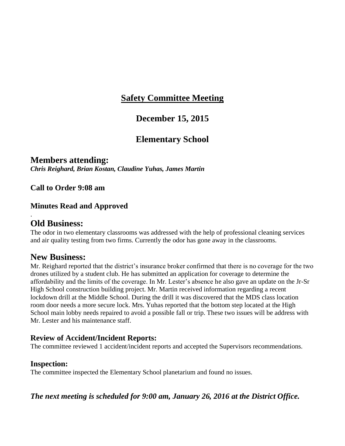## **December 15, 2015**

## **Elementary School**

### **Members attending:**

*Chris Reighard, Brian Kostan, Claudine Yuhas, James Martin*

**Call to Order 9:08 am**

#### **Minutes Read and Approved**

### **Old Business:**

.

The odor in two elementary classrooms was addressed with the help of professional cleaning services and air quality testing from two firms. Currently the odor has gone away in the classrooms.

### **New Business:**

Mr. Reighard reported that the district's insurance broker confirmed that there is no coverage for the two drones utilized by a student club. He has submitted an application for coverage to determine the affordability and the limits of the coverage. In Mr. Lester's absence he also gave an update on the Jr-Sr High School construction building project. Mr. Martin received information regarding a recent lockdown drill at the Middle School. During the drill it was discovered that the MDS class location room door needs a more secure lock. Mrs. Yuhas reported that the bottom step located at the High School main lobby needs repaired to avoid a possible fall or trip. These two issues will be address with Mr. Lester and his maintenance staff.

#### **Review of Accident/Incident Reports:**

The committee reviewed 1 accident/incident reports and accepted the Supervisors recommendations.

#### **Inspection:**

The committee inspected the Elementary School planetarium and found no issues.

*The next meeting is scheduled for 9:00 am, January 26, 2016 at the District Office.*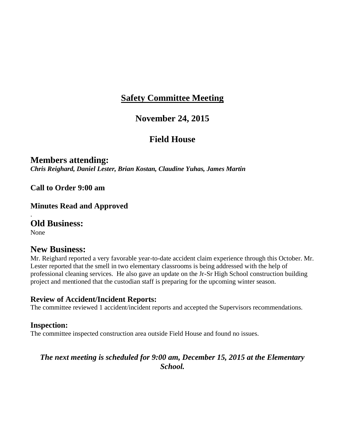### **November 24, 2015**

## **Field House**

**Members attending:** *Chris Reighard, Daniel Lester, Brian Kostan, Claudine Yuhas, James Martin*

**Call to Order 9:00 am**

**Minutes Read and Approved**

**Old Business:**

None

.

### **New Business:**

Mr. Reighard reported a very favorable year-to-date accident claim experience through this October. Mr. Lester reported that the smell in two elementary classrooms is being addressed with the help of professional cleaning services. He also gave an update on the Jr-Sr High School construction building project and mentioned that the custodian staff is preparing for the upcoming winter season.

#### **Review of Accident/Incident Reports:**

The committee reviewed 1 accident/incident reports and accepted the Supervisors recommendations.

#### **Inspection:**

The committee inspected construction area outside Field House and found no issues.

### *The next meeting is scheduled for 9:00 am, December 15, 2015 at the Elementary School.*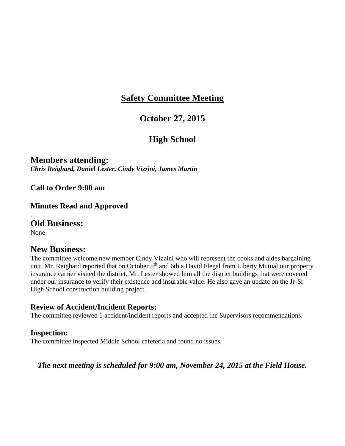## **October 27, 2015**

## **High School**

**Members attending:** *Chris Reighard, Daniel Lester, Cindy Vizzini, James Martin*

**Call to Order 9:00 am**

**Minutes Read and Approved**

**Old Business:**

None

.

#### **New Business:**

The committee welcome new member Cindy Vizzini who will represent the cooks and aides bargaining unit. Mr. Reighard reported that on October 5<sup>th</sup> and 6th a David Flegal from Liberty Mutual our property insurance carrier visited the district. Mr. Lester showed him all the district buildings that were covered under our insurance to verify their existence and insurable value. He also gave an update on the Jr-Sr High School construction building project.

#### **Review of Accident/Incident Reports:**

The committee reviewed 1 accident/incident reports and accepted the Supervisors recommendations.

#### **Inspection:**

The committee inspected Middle School cafeteria and found no issues.

#### *The next meeting is scheduled for 9:00 am, November 24, 2015 at the Field House.*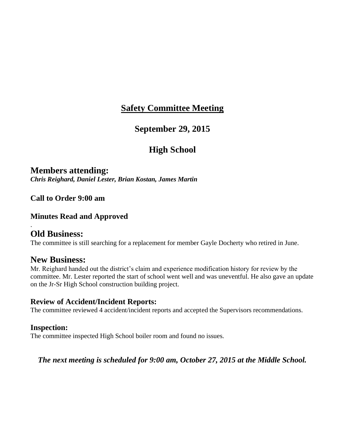### **September 29, 2015**

## **High School**

**Members attending:** *Chris Reighard, Daniel Lester, Brian Kostan, James Martin*

**Call to Order 9:00 am**

#### **Minutes Read and Approved**

### **Old Business:**

.

The committee is still searching for a replacement for member Gayle Docherty who retired in June.

#### **New Business:**

Mr. Reighard handed out the district's claim and experience modification history for review by the committee. Mr. Lester reported the start of school went well and was uneventful. He also gave an update on the Jr-Sr High School construction building project.

#### **Review of Accident/Incident Reports:**

The committee reviewed 4 accident/incident reports and accepted the Supervisors recommendations.

#### **Inspection:**

The committee inspected High School boiler room and found no issues.

#### *The next meeting is scheduled for 9:00 am, October 27, 2015 at the Middle School.*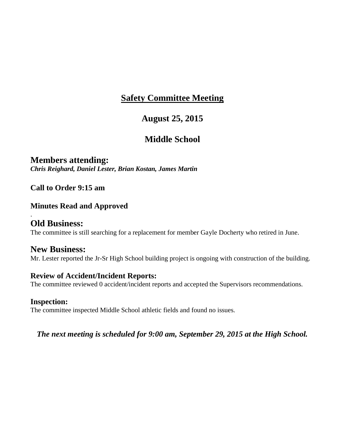## **August 25, 2015**

## **Middle School**

**Members attending:** *Chris Reighard, Daniel Lester, Brian Kostan, James Martin*

**Call to Order 9:15 am**

### **Minutes Read and Approved**

### **Old Business:**

.

The committee is still searching for a replacement for member Gayle Docherty who retired in June.

### **New Business:**

Mr. Lester reported the Jr-Sr High School building project is ongoing with construction of the building.

#### **Review of Accident/Incident Reports:**

The committee reviewed 0 accident/incident reports and accepted the Supervisors recommendations.

#### **Inspection:**

The committee inspected Middle School athletic fields and found no issues.

*The next meeting is scheduled for 9:00 am, September 29, 2015 at the High School.*